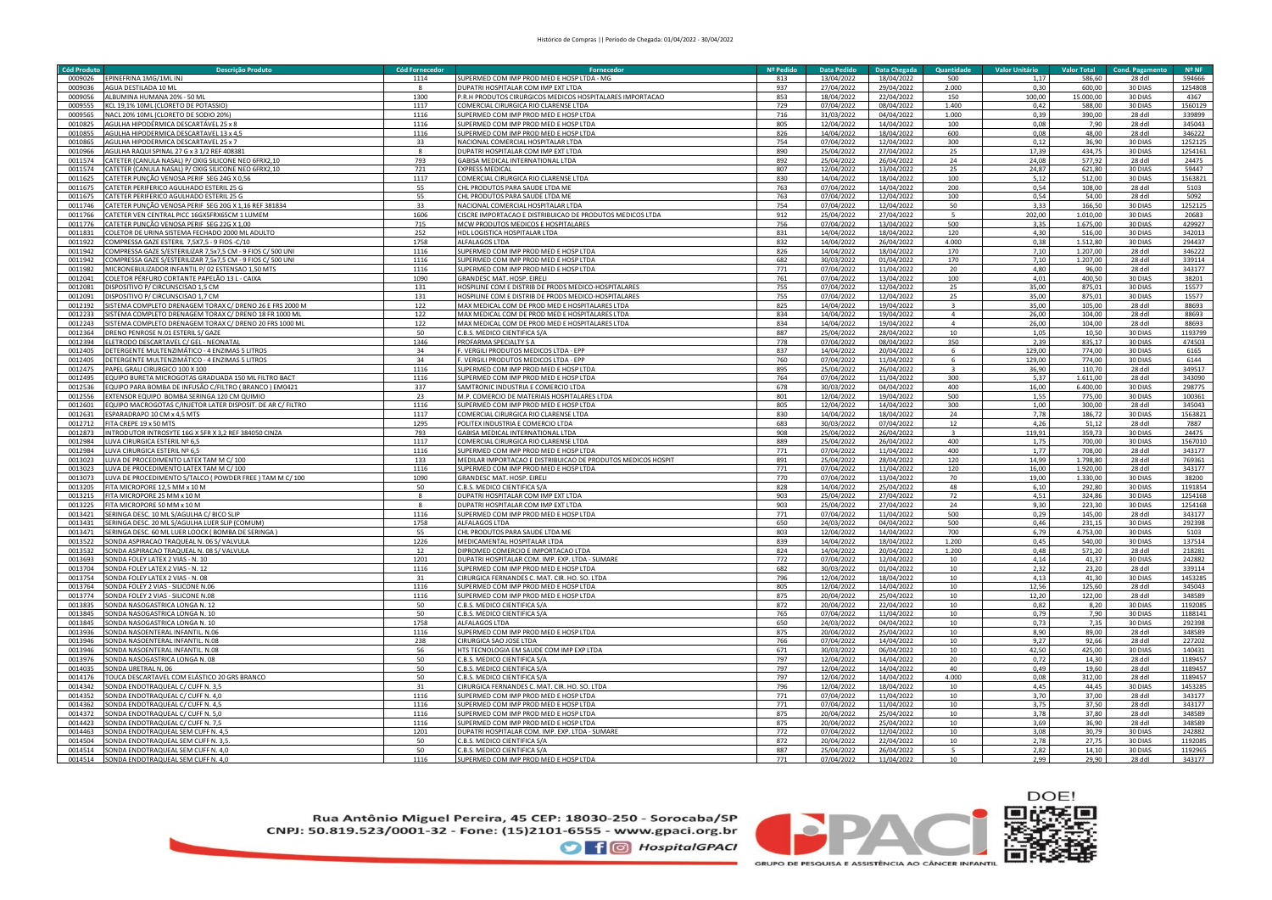| <b>Cód Produte</b> | Descrição Produto                                          | Cód Fornecedor | Fornecedo                                                    | Nº Pedido | <b>Data Pedido</b> | Data Chegada | Ouantidade       | Valor Unitário | <b>Valor Total</b> | <b>Cond. Pagamento</b> | $N^{\circ}$ NF |
|--------------------|------------------------------------------------------------|----------------|--------------------------------------------------------------|-----------|--------------------|--------------|------------------|----------------|--------------------|------------------------|----------------|
| 0009026            | PINEFRINA 1MG/1ML INJ                                      | 1114           | UPERMED COM IMP PROD MED E HOSP LTDA - MG                    | 813       | 13/04/2022         | 18/04/2022   | 500              | 1,17           | 586,60             | 28 ddl                 | 594666         |
| 0009036            | AGUA DESTILADA 10 ML                                       |                | <b>UPATRI HOSPITALAR COM IMP FXT LTDA</b>                    | 937       | 27/04/2022         | 29/04/2022   | 2.000            | 0,30           | 600,00             | 30 DIAS                | 1254808        |
| 0009056            | ALBUMINA HUMANA 20% - 50 ML                                | 1300           | .R.H PRODUTOS CIRURGICOS MEDICOS HOSPITALARES IMPORTACAO     | 853       | 18/04/2022         | 22/04/2022   | 150              | 100,00         | 15.000,00          | 30 DIAS                | 4367           |
|                    |                                                            |                |                                                              |           |                    |              |                  |                |                    |                        |                |
| 0009555            | KCL 19,1% 10ML (CLORETO DE POTASSIO)                       | 1117           | COMERCIAL CIRURGICA RIO CLARENSE LTDA                        | 729       | 07/04/2022         | 08/04/2022   | 1.400            | 0,42           | 588,00             | 30 DIAS                | 1560129        |
| 0009565            | NACL 20% 10ML (CLORETO DE SODIO 20%)                       | 1116           | UPERMED COM IMP PROD MED E HOSP LTDA                         | 716       | 31/03/2022         | 04/04/2022   | 1.000            | 0.39           | 390,00             | 28 ddl                 | 339899         |
| 0010825            | AGULHA HIPODÉRMICA DESCARTÁVEL 25 x 8                      | 1116           | SUPERMED COM IMP PROD MED E HOSP LTDA                        | 805       | 12/04/2022         | 14/04/2022   | 100              | 0,08           | 7,90               | 28 ddl                 | 345043         |
| 0010855            | AGULHA HIPODERMICA DESCARTAVEL 13 x 4,5                    | 1116           | UPERMED COM IMP PROD MED E HOSP LTDA                         | 826       | 14/04/2022         | 18/04/2022   | 600              | 0,08           | 48,00              | 28 ddl                 | 346222         |
| 0010865            | AGULHA HIPODERMICA DESCARTAVEL 25 x 7                      | 33             | NACIONAL COMERCIAL HOSPITALAR LTDA                           | 754       | 07/04/2022         | 12/04/2022   | 300              | 0,12           | 36,90              | 30 DIAS                | 1252125        |
| 0010966            | GULHA RAQUI SPINAL 27 G x 3 1/2 REF 40838                  |                | <b>JUPATRI HOSPITALAR COM IMP EXT LTDA</b>                   | 890       | 25/04/2022         | 27/04/2022   | 25               | 17.39          | 434.75             | 30 DIAS                | 1254161        |
| 0011574            | ATETER (CANULA NASAL) P/OXIG SILICONE NEO 6FRX2.10         | 793            | <b>GABISA MEDICAL INTERNATIONAL LTDA</b>                     | 892       | 25/04/2022         | 26/04/2022   | 24               | 24.08          | 577.92             | 28 ddl                 | 24475          |
| 0011574            | ATETER (CANULA NASAL) P/ OXIG SILICONE NEO 6FRX2.10        | 721            | <b>EXPRESS MEDICAL</b>                                       | 807       | 12/04/2022         | 13/04/2022   | 25               | 24,87          | 621.80             | 30 DIAS                | 59447          |
| 0011625            | ATETER PUNCÃO VENOSA PERIF SEG 24G X 0.56                  | 1117           | COMERCIAL CIRURGICA RIO CLARENSE LTDA                        | 830       | 14/04/2022         | 18/04/2022   | 100              | 5.12           | 512.00             | 30 DIAS                | 1563821        |
|                    |                                                            |                |                                                              |           |                    |              |                  |                |                    |                        |                |
| 0011675            | ATETER PERIFERICO AGULHADO ESTERIL 25 G                    | 55             | CHL PRODUTOS PARA SAUDE LTDA ME                              | 763       | 07/04/2022         | 14/04/2022   | 200              | 0,54           | 108,00             | 28 ddl                 | 5103           |
| 0011675            | CATETER PERIFERICO AGULHADO ESTERIL 25 G                   | 55             | CHL PRODUTOS PARA SAUDE LTDA ME                              | 763       | 07/04/2022         | 12/04/2022   | 100              | 0.54           | 54,00              | 28 ddl                 | 5092           |
| 0011746            | CATETER PUNÇÃO VENOSA PERIF SEG 20G X 1,16 REF 381834      | 33             | NACIONAL COMERCIAL HOSPITALAR LTDA                           | 754       | 07/04/2022         | 12/04/2022   | 50               | 3,33           | 166,50             | 30 DIAS                | 1252125        |
| 0011766            | ATETER VEN CENTRAL PICC 16GX5FRX65CM 1 LUMEM               | 1606           | CISCRE IMPORTACAO E DISTRIBUICAO DE PRODUTOS MEDICOS LTDA    | 912       | 25/04/2022         | 27/04/2022   |                  | 202,00         | 1.010,00           | 30 DIAS                | 20683          |
| 0011776            | ATETER PUNÇÃO VENOSA PERIF SEG 22G X 1,00                  | 715            | MCW PRODUTOS MEDICOS E HOSPITALARES                          | 756       | 07/04/2022         | 13/04/2022   | 500              | 3,35           | 1.675,00           | 30 DIAS                | 429927         |
| 0011831            | OLETOR DE URINA SISTEMA FECHADO 2000 ML ADULTO             | 252            | <b>IDL LOGISTICA HOSPITALAR LTDA</b>                         | 831       | 14/04/2022         | 18/04/2022   | 120              | 4,30           | 516,00             | 30 DIAS                | 342013         |
| 0011922            | OMPRESSA GAZE ESTERIL 7,5X7,5 - 9 FIOS -C/10               | 1758           | <b>ALFALAGOS LTDA</b>                                        | 832       | 14/04/2022         | 26/04/2022   | 4.000            | 0,38           | 1.512,80           | 30 DIAS                | 294437         |
| 0011942            | OMPRESSA GAZE S/ESTERILIZAR 7,5x7,5 CM - 9 FIOS C/ 500 UNI | 1116           | UPERMED COM IMP PROD MED E HOSP LTDA                         | 826       | 14/04/2022         | 18/04/2022   | 170              | 7,10           | 1.207,00           | 28 ddl                 | 346222         |
| 0011942            | OMPRESSA GAZE S/ESTERILIZAR 7,5x7,5 CM - 9 FIOS C/ 500 UNI | 1116           | UPERMED COM IMP PROD MED E HOSP LTDA                         | 682       | 30/03/2022         | 01/04/2022   | 170              | 7,10           | 1.207.00           | 28 ddl                 | 339114         |
|                    |                                                            |                |                                                              |           |                    |              |                  |                |                    |                        |                |
| 0011982            | IICRONEBULIZADOR INFANTIL P/ 02 ESTENSAO 1,50 MTS          | 1116           | UPERMED COM IMP PROD MED E HOSP LTDA                         | 771       | 07/04/2022         | 11/04/2022   | 20               | 4,80           | 96,00              | 28 ddl                 | 343177         |
| 0012041            | OLETOR PÉRFURO CORTANTE PAPELÃO 13 L - CAIXA               | 1090           | <b>SRANDESC MAT. HOSP. FIRELL</b>                            | 761       | 07/04/2022         | 13/04/2022   | 100              | 4,01           | 400,50             | 30 DIAS                | 38201          |
| 0012081            | ISPOSITIVO P/ CIRCUNSCISAO 1,5 CM                          | 131            | IOSPILINE COM E DISTRIB DE PRODS MEDICO-HOSPITALARE:         | 755       | 07/04/2022         | 12/04/2022   | 25               | 35,00          | 875,01             | 30 DIAS                | 15577          |
| 0012091            | DISPOSITIVO P/ CIRCUNSCISAO 1,7 CM                         | 131            | HOSPILINE COM E DISTRIB DE PRODS MEDICO-HOSPITALARES         | 755       | 07/04/2022         | 12/04/2022   | 25               | 35,00          | 875,01             | 30 DIAS                | 15577          |
| 0012192            | ISTEMA COMPLETO DRENAGEM TORAX C/ DRENO 26 E FRS 2000 M    | 122            | MAX MEDICAL COM DE PROD MED E HOSPITALARES LTDA              | 825       | 14/04/2022         | 19/04/2022   |                  | 35,00          | 105,00             | 28 ddl                 | 88693          |
| 0012233            | STEMA COMPLETO DRENAGEM TORAX C/ DRENO 18 FR 1000 MI       | 122            | MAX MEDICAL COM DE PROD MED E HOSPITALARES LTDA              | 834       | 14/04/2022         | 19/04/2022   | $\mathbf{A}$     | 26,00          | 104,00             | 28 ddl                 | 88693          |
| 0012243            | ISTEMA COMPLETO DRENAGEM TORAX C/ DRENO 20 FRS 1000 ML     | 122            | MAX MEDICAL COM DE PROD MED E HOSPITALARES LTDA              | 834       | 14/04/2022         | 19/04/2022   |                  | 26.00          | 104.00             | 28 ddl                 | 88693          |
| 0012364            | RENO PENROSE N.01 ESTERIL S/ GAZE                          | 50             | C.B.S. MEDICO CIENTIFICA S/A                                 | 887       | 25/04/2022         | 28/04/2022   | 10               | 1.05           | 10.50              | 30 DIAS                | 1193799        |
| 0012394            | LETRODO DESCARTAVEL C/ GEL - NEONATAL                      | 1346           | PROFARMA SPECIALTY S A                                       | 778       | 07/04/2022         | 08/04/2022   | 350              | 2,39           | 835,17             | 30 DIAS                | 474503         |
| 0012405            | DETERGENTE MULTENZIMÁTICO - 4 ENZIMAS 5 LITROS             | 34             | . VERGILI PRODUTOS MEDICOS LTDA - EPP                        | 837       | 14/04/2022         | 20/04/2022   | 6                | 129,00         | 774.00             | 30 DIAS                | 6165           |
| 0012405            | DETERGENTE MULTENZIMÁTICO - 4 ENZIMAS 5 LITROS             | 34             | VERGILI PRODUTOS MEDICOS LTDA - EPP                          | 760       | 07/04/2022         | 11/04/2022   | 6                | 129,00         | 774.00             | 30 DIAS                | 6144           |
|                    |                                                            |                |                                                              |           |                    |              |                  |                |                    |                        |                |
| 0012475            | PAPEL GRAU CIRURGICO 100 X 100                             | 1116           | SUPERMED COM IMP PROD MED E HOSP LTDA                        | 895       | 25/04/2022         | 26/04/2022   |                  | 36,90          | 110,70             | 28 ddl                 | 349517         |
| 0012495            | EQUIPO BURETA MICROGOTAS GRADUADA 150 ML FILTRO BACT       | 1116           | SUPERMED COM IMP PROD MED E HOSP LTDA                        | 764       | 07/04/2022         | 11/04/2022   | 300              | 5,37           | 1.611,00           | 28 ddl                 | 343090         |
| 0012536            | :QUIPO PARA BOMBA DE INFUSÃO C/FILTRO ( BRANCO ) EM0421    | 337            | SAMTRONIC INDUSTRIA E COMERCIO LTDA                          | 678       | 30/03/2022         | 04/04/2022   | 400              | 16,00          | 6.400,00           | 30 DIAS                | 298775         |
| 0012556            | <b>XTENSOR EQUIPO BOMBA SERINGA 120 CM QUIMIO</b>          | 23             | M.P. COMERCIO DE MATERIAIS HOSPITALARES LTDA                 | 801       | 12/04/2022         | 19/04/2022   | 500              | 1,55           | 775,00             | 30 DIAS                | 100361         |
| 0012601            | QUIPO MACROGOTAS C/INJETOR LATER DISPOSIT. DE AR C/ FILTRO | 1116           | UPERMED COM IMP PROD MED E HOSP LTDA                         | 805       | 12/04/2022         | 14/04/2022   | 300              | 1,00           | 300,00             | 28 ddl                 | 345043         |
| 0012631            | SPARADRAPO 10 CM x 4.5 MTS                                 | 1117           | COMERCIAL CIRURGICA RIO CLARENSE LTDA                        | 830       | 14/04/2022         | 18/04/2022   | 24               | 7,78           | 186.72             | 30 DIAS                | 1563821        |
| 0012712            | ITA CREPE 19 x 50 MTS                                      | 1295           | OLITEX INDUSTRIA E COMERCIO LTDA                             | 683       | 30/03/2022         | 07/04/2022   | 12               | 4,26           | 51,12              | 28 ddl                 | 7887           |
| 0012873            | INTRODUTOR INTROSYTE 16G X 5FR X 3,2 REF 384050 CINZA      | 793            | ABISA MEDICAL INTERNATIONAL LTDA                             | 908       | 25/04/2022         | 26/04/2022   | $\overline{3}$   | 119,91         | 359,73             | 30 DIAS                | 24475          |
| 0012984            | LUVA CIRURGICA ESTERIL Nº 6.5                              | 1117           | COMERCIAL CIRURGICA RIO CLARENSE LTDA                        | 889       | 25/04/2022         | 26/04/2022   | 400              | 1,75           | 700,00             | 30 DIAS                | 1567010        |
| 0012984            | LUVA CIRURGICA ESTERIL Nº 6.5                              | 1116           | SUPERMED COM IMP PROD MED E HOSP LTDA                        | 771       | 07/04/2022         | 11/04/2022   | 400              | 1,77           | 708,00             | 28 ddl                 | 343177         |
| 0013023            | LUVA DE PROCEDIMENTO LATEX TAM M C/100                     | 133            | MEDILAR IMPORTACAO E DISTRIBUICAO DE PRODUTOS MEDICOS HOSPIT | 891       | 25/04/2022         | 28/04/2022   | 120              | 14,99          | 1.798,80           | 28 ddl                 | 769361         |
| 0013023            |                                                            |                |                                                              | 771       |                    |              |                  |                |                    |                        |                |
|                    | UVA DE PROCEDIMENTO LATEX TAM M C/100                      | 1116           | SUPERMED COM IMP PROD MED E HOSP LTDA                        |           | 07/04/2022         | 11/04/2022   | 120              | 16,00          | 1.920,00           | 28 ddl                 | 343177         |
| 0013073            | UVA DE PROCEDIMENTO S/TALCO ( POWDER FREE ) TAM M C/ 100   | 1090           | <b>GRANDESC MAT. HOSP. EIRELI</b>                            | 770       | 07/04/2022         | 13/04/2022   | 70               | 19,00          | 1.330,00           | 30 DIAS                | 38200          |
| 0013205            | ITA MICROPORE 12.5 MM x 10 M                               | 50             | C.B.S. MEDICO CIENTIFICA S/A                                 | 828       | 14/04/2022         | 25/04/2022   | 48               | 6.10           | 292.80             | 30 DIAS                | 1191854        |
| 0013215            | ITA MICROPORE 25 MM x 10 M                                 |                | <b>DUPATRI HOSPITALAR COM IMP EXT LTDA</b>                   | 903       | 25/04/2022         | 27/04/2022   | 72               | 4.51           | 324.86             | 30 DIAS                | 1254168        |
| 0013225            | ITA MICROPORE 50 MM x 10 M                                 |                | <b>UPATRI HOSPITALAR COM IMP EXT LTDA</b>                    | 903       | 25/04/2022         | 27/04/2022   | 24               | 9,30           | 223,30             | 30 DIAS                | 1254168        |
| 0013421            | SERINGA DESC. 10 ML S/AGULHA C/ BICO SLIP                  | 1116           | UPERMED COM IMP PROD MED E HOSP LTDA                         | 771       | 07/04/2022         | 11/04/2022   | 500              | 0.29           | 145,00             | 28 ddl                 | 343177         |
| 0013431            | SERINGA DESC. 20 ML S/AGULHA LUER SLIP (COMUM)             | 1758           | ALFALAGOS LTDA                                               | 650       | 24/03/2022         | 04/04/2022   | 500              | 0,46           | 231,15             | 30 DIAS                | 292398         |
| 0013471            | SERINGA DESC. 60 ML LUER LOOCK (BOMBA DE SERINGA)          | 55             | CHL PRODUTOS PARA SAUDE LTDA ME                              | 803       | 12/04/2022         | 14/04/2022   | 700              | 6,79           | 4.753,00           | 30 DIAS                | 5103           |
| 0013522            | SONDA ASPIRACAO TRAQUEAL N. 06 S/ VALVULA                  | 1226           | MEDICAMENTAL HOSPITALAR LTDA                                 | 839       | 14/04/2022         | 18/04/2022   | 1.200            | 0,45           | 540,00             | 30 DIAS                | 137514         |
| 0013532            | SONDA ASPIRACAO TRAQUEAL N. 08 S/ VALVULA                  | 12             | DIPROMED COMERCIO E IMPORTACAO LTDA                          | 824       | 14/04/2022         | 20/04/2022   | 1.200            | 0,48           | 571,20             | 28 ddl                 | 218281         |
| 0013693            | ONDA FOLEY LATEX 2 VIAS - N. 10                            | 1201           | UPATRI HOSPITALAR COM. IMP. EXP. LTDA - SUMARE               | 772       | 07/04/2022         | 12/04/2022   | 10               | 4,14           | 41,37              | 30 DIAS                | 242882         |
| 0013704            | ONDA FOLEY LATEX 2 VIAS - N. 12                            | 1116           | UPERMED COM IMP PROD MED E HOSP LTDA                         | 682       | 30/03/2022         | 01/04/2022   | 10               | 2,32           | 23.20              | 28 ddl                 | 339114         |
| 0013754            | ONDA FOLEY LATEX 2 VIAS - N. 08                            | 31             | IRURGICA FERNANDES C. MAT. CIR. HO. SO. LTDA                 | 796       | 12/04/2022         | 18/04/2022   | 10               | 4.13           | 41.30              | 30 DIAS                | 1453285        |
|                    |                                                            |                |                                                              |           |                    |              |                  |                |                    |                        |                |
| 0013764            | ONDA FOLEY 2 VIAS - SILICONE N.06                          | 1116           | UPERMED COM IMP PROD MED E HOSP LTDA                         | 805       | 12/04/2022         | 14/04/2022   | 10               | 12,56          | 125,60             | 28 ddl                 | 345043         |
| 0013774            | ONDA FOLEY 2 VIAS - SILICONE N.08                          | 1116           | UPERMED COM IMP PROD MED E HOSP LTDA                         | 875       | 20/04/2022         | 25/04/2022   | 10               | 12,20          | 122,00             | 28 ddl                 | 348589         |
| 0013835            | ONDA NASOGASTRICA LONGA N. 12                              | 50             | C.B.S. MEDICO CIENTIFICA S/A                                 | 872       | 20/04/2022         | 22/04/2022   | 10               | 0,82           | 8,20               | 30 DIAS                | 1192085        |
| 0013845            | ONDA NASOGASTRICA LONGA N. 10                              | 50             | C.B.S. MEDICO CIENTIFICA S/A                                 | 765       | 07/04/2022         | 11/04/2022   | 10               | 0,79           | 7,90               | 30 DIAS                | 1188141        |
| 0013845            | ONDA NASOGASTRICA LONGA N. 10                              | 1758           | ALFALAGOS LTDA                                               | 650       | 24/03/2022         | 04/04/2022   | 10               | 0,73           | 7,35               | 30 DIAS                | 292398         |
| 0013936            | SONDA NASOFNTFRAI INFANTIL N.06                            | 1116           | SUPERMED COM IMP PROD MED E HOSP LTDA                        | 875       | 20/04/2022         | 25/04/2022   | 10               | 8.90           | 89,00              | $28$ ddl               | 348589         |
| 0013946            | ONDA NASOENTERAL INFANTIL. N.08                            | 238            | CIRURGICA SAO JOSE LTDA                                      | 766       | 07/04/2022         | 14/04/2022   | 10               | 9,27           | 92,66              | 28 ddl                 | 227202         |
| 0013946            | ONDA NASOENTERAL INFANTIL, N.08                            | 56             | HTS TECNOLOGIA EM SAUDE COM IMP EXP LTDA                     | 671       | 30/03/2022         | 06/04/2022   | 10 <sup>10</sup> | 42.50          | 425.00             | 30 DIAS                | 140431         |
| 0013976            | ONDA NASOGASTRICA LONGA N. 08                              | 50             | C.B.S. MEDICO CIENTIFICA S/A                                 | 797       | 12/04/2022         | 14/04/2022   | 20 <sub>0</sub>  | 0.72           | 14.30              | 28 ddl                 | 1189457        |
| 0014035            | ONDA URETRAL N. 06                                         | 50             | C.B.S. MEDICO CIENTIFICA S/A                                 | 797       | 12/04/2022         | 14/04/2022   | 40               | 0,49           | 19,60              | 28 ddl                 | 1189457        |
| 0014176            | TOUCA DESCARTAVEL COM ELÁSTICO 20 GRS BRANCO               | 50             | <b>C.B.S. MEDICO CIENTIFICA S/A</b>                          | 797       | 12/04/2022         | 14/04/2022   | 4.000            | 0.08           | 312,00             | 28 ddl                 | 1189457        |
|                    |                                                            |                |                                                              |           |                    |              |                  |                |                    |                        |                |
| 0014342            | SONDA ENDOTRAQUEAL C/ CUFF N. 3,5                          | 31             | CIRURGICA FERNANDES C. MAT. CIR. HO. SO. LTDA                | 796       | 12/04/2022         | 18/04/2022   | 10               | 4,45           | 44,45              | 30 DIAS                | 1453285        |
| 0014352            | SONDA ENDOTRAQUEAL C/ CUFF N. 4,0                          | 1116           | SUPERMED COM IMP PROD MED E HOSP LTDA                        | 771       | 07/04/2022         | 11/04/2022   | 10               | 3,70           | 37,00              | 28 ddl                 | 343177         |
| 0014362            | ONDA ENDOTRAQUEAL C/ CUFF N. 4,5                           | 1116           | SUPERMED COM IMP PROD MED E HOSP LTDA                        | 771       | 07/04/2022         | 11/04/2022   | 10               | 3,75           | 37,50              | 28 ddl                 | 343177         |
| 0014372            | ONDA ENDOTRAQUEAL C/ CUFF N. 5,0                           | 1116           | SUPERMED COM IMP PROD MED E HOSP LTDA                        | 875       | 20/04/2022         | 25/04/2022   | 10               | 3,78           | 37,80              | 28 ddl                 | 348589         |
| 0014423            | ONDA ENDOTRAQUEAL C/ CUFF N. 7,5                           | 1116           | SUPERMED COM IMP PROD MED E HOSP LTDA                        | 875       | 20/04/2022         | 25/04/2022   | 10               | 3,69           | 36,90              | 28 ddl                 | 348589         |
| 0014463            | ONDA ENDOTRAQUEAL SEM CUFF N. 4,5                          | 1201           | DUPATRI HOSPITALAR COM. IMP. EXP. LTDA - SUMARE              | 772       | 07/04/2022         | 12/04/2022   | 10               | 3,08           | 30,79              | 30 DIAS                | 242882         |
| 0014504            | ONDA ENDOTRAQUEAL SEM CUFF N. 3,5                          | 50             | C.B.S. MEDICO CIENTIFICA S/A                                 | 872       | 20/04/2022         | 22/04/2022   | 10               | 2,78           | 27,75              | 30 DIAS                | 1192085        |
| 0014514            | SONDA ENDOTRAQUEAL SEM CUFF N. 4,0                         | 50             | C.B.S. MEDICO CIENTIFICA S/A                                 | 887       | 25/04/2022         | 26/04/2022   |                  | 2,82           | 14,10              | 30 DIAS                | 1192965        |
| 0014514            | SONDA ENDOTRAQUEAL SEM CUFF N. 4,0                         | 1116           | SUPERMED COM IMP PROD MED E HOSP LTDA                        | 771       | 07/04/2022         | 11/04/2022   | 10               | 2.99           | 29.90              | 28 ddl                 | 343177         |

Rua Antônio Miguel Pereira, 45 CEP: 18030-250 - Sorocaba/SP<br>CNPJ: 50.819.523/0001-32 - Fone: (15)2101-6555 - www.gpaci.org.br

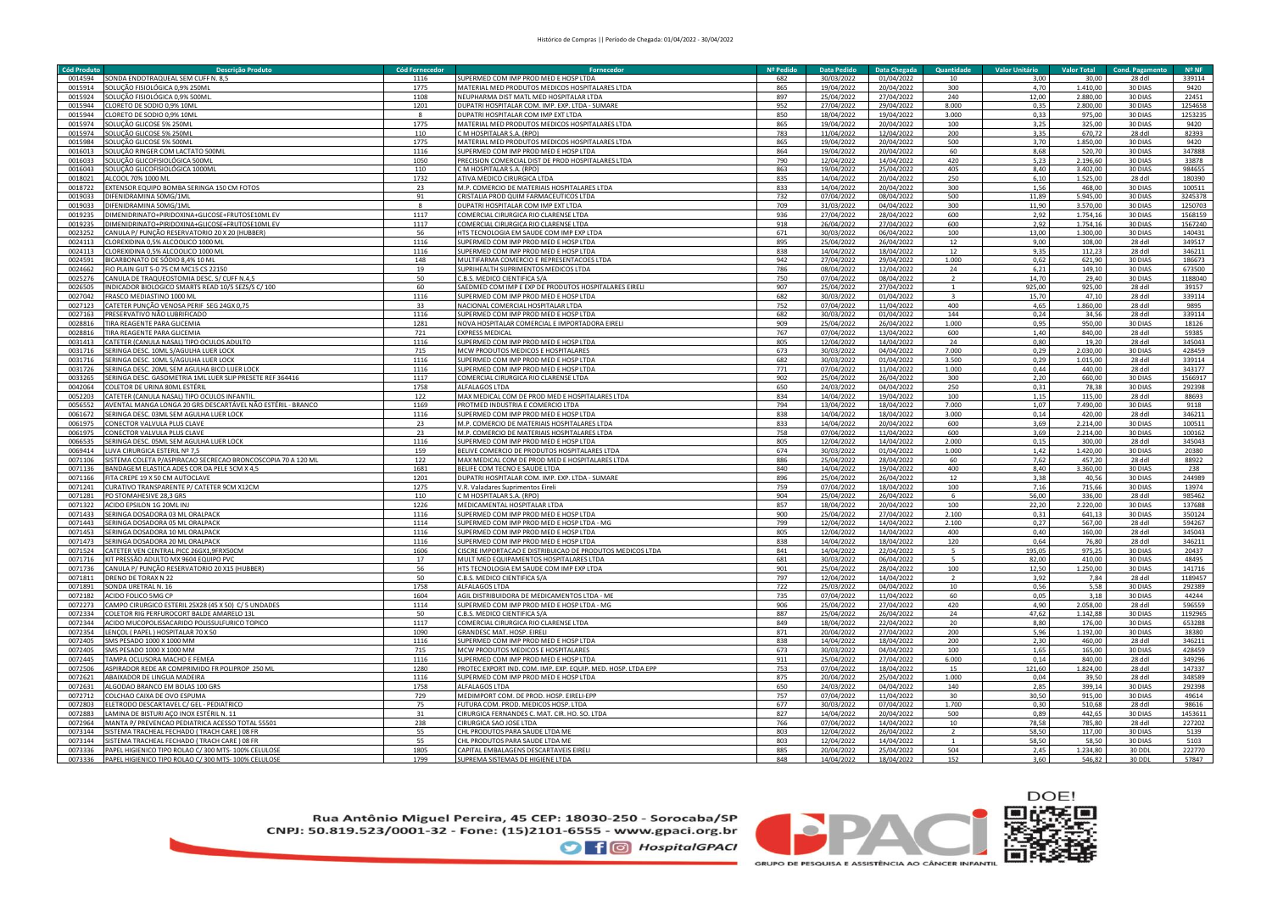| Cód Produto | Descrição Produto                                            | <b>Cód Fornecedor</b> | Fornecedor                                                   | Nº Pedido | <b>Data Pedido</b> | Data Chegada | <b>Quantidade</b> | <b>Valor Unitário</b> | <b>Valor Total</b> | <b>Cond. Pagamento</b> | $N^{\circ}$ NF |
|-------------|--------------------------------------------------------------|-----------------------|--------------------------------------------------------------|-----------|--------------------|--------------|-------------------|-----------------------|--------------------|------------------------|----------------|
| 0014594     | ONDA ENDOTRAQUEAL SEM CUFF N. 8,5                            | 1116                  | UPERMED COM IMP PROD MED E HOSP LTDA                         | 682       | 30/03/2022         | 01/04/2022   | 10                | 3,00                  | 30,00              | 28 ddl                 | 339114         |
| 0015914     | <u>SOLUÇÃO FISIOLÓGICA 0,9% 250ML</u>                        | 1775                  | MATERIAL MED PRODUTOS MEDICOS HOSPITALARES LTDA              | 865       | 19/04/2022         | 20/04/2022   | 300               | 4,70                  | 1.410,00           | 30 DIAS                | 9420           |
| 0015924     | SOLUÇÃO FISIOLÓGICA 0,9% 500ML                               | 1108                  | <b>IEUPHARMA DIST MATL MED HOSPITALAR LTDA</b>               | 897       | 25/04/2022         | 27/04/2022   | 240               | 12,00                 | 2.880,00           | 30 DIAS                | 22451          |
|             |                                                              |                       |                                                              |           |                    |              |                   |                       |                    |                        |                |
| 0015944     | CLORETO DE SODIO 0,9% 10MI                                   | 1201                  | <b>UPATRI HOSPITALAR COM. IMP. EXP. LTDA - SUMARE</b>        | 952       | 27/04/2022         | 29/04/2022   | 8.000             | 0,35                  | 2.800,00           | 30 DIAS                | 1254658        |
| 0015944     | CLORETO DE SODIO 0,9% 10MI                                   |                       | DUPATRI HOSPITALAR COM IMP EXT LTDA                          | 850       | 18/04/2022         | 19/04/2022   | 3.000             | 0,33                  | 975,00             | 30 DIAS                | 1253235        |
| 0015974     | SOLUÇÃO GLICOSE 5% 250ML                                     | 1775                  | MATERIAL MED PRODUTOS MEDICOS HOSPITALARES LTDA              | 865       | 19/04/2022         | 20/04/2022   | 100               | 3,25                  | 325,00             | 30 DIAS                | 9420           |
| 0015974     | SOLUÇÃO GLICOSE 5% 250MI                                     | 110                   | C M HOSPITALAR S.A. (RPO)                                    | 783       | 11/04/2022         | 12/04/2022   | 200               | 3,35                  | 670,72             | 28 ddl                 | 82393          |
| 0015984     | SOLUÇÃO GLICOSE 5% 500MI                                     | 1775                  | MATERIAL MED PRODUTOS MEDICOS HOSPITALARES LTDA              | 865       | 19/04/2022         | 20/04/2022   | 500               | 3.70                  | 1.850,00           | 30 DIAS                | 9420           |
| 0016013     | SOLUÇÃO RINGER COM LACTATO 500MI                             | 1116                  | <b>SUPERMED COM IMP PROD MED E HOSP LTDA</b>                 | 864       | 19/04/2022         | 20/04/2022   | 60                | 8,68                  | 520,70             | 30 DIAS                | 347888         |
| 0016033     | SOLUCÃO GLICOFISIOLÓGICA 500MI                               | 1050                  | PRECISION COMERCIAL DIST DE PROD HOSPITALARES LTDA           | 790       | 12/04/2022         | 14/04/2022   | 420               | 5.23                  | 2.196.60           | 30 DIAS                | 33878          |
| 0016043     | SOLUCÃO GLICOFISIOLÓGICA 1000ML                              | 110                   | CM HOSPITALAR S.A. (RPO)                                     | 863       | 19/04/2022         | 25/04/2022   | 405               | 8.40                  | 3.402,00           | 30 DIAS                | 984655         |
| 0018021     | ALCOOL 70% 1000 ML                                           | 1732                  | ATIVA MEDICO CIRURGICA LTDA                                  | 835       | 14/04/2022         | 20/04/2022   | 250               | 6.10                  | 1.525,00           | 28 ddl                 | 180390         |
|             |                                                              |                       |                                                              |           |                    |              |                   |                       |                    |                        |                |
| 0018722     | EXTENSOR EQUIPO BOMBA SERINGA 150 CM FOTOS                   | 23                    | M.P. COMERCIO DE MATERIAIS HOSPITALARES LTDA                 | 833       | 14/04/2022         | 20/04/2022   | 300               | 1.56                  | 468,00             | 30 DIAS                | 100511         |
| 0019033     | DIFENIDRAMINA 50MG/1ML                                       | 91                    | CRISTALIA PROD QUIM FARMACEUTICOS LTDA                       | 732       | 07/04/2022         | 08/04/2022   | 500               | 11,89                 | 5.945,00           | 30 DIAS                | 3245378        |
| 0019033     | DIFENIDRAMINA 50MG/1ML                                       |                       | <b>DUPATRI HOSPITALAR COM IMP EXT LTDA</b>                   | 709       | 31/03/2022         | 04/04/2022   | 300               | 11,90                 | 3.570,00           | 30 DIAS                | 1250703        |
| 0019235     | DIMENIDRINATO+PIRIDOXINA+GLICOSE+FRUTOSE10ML EV              | 1117                  | COMERCIAL CIRURGICA RIO CLARENSE LTDA                        | 936       | 27/04/2022         | 28/04/2022   | 600               | 2,92                  | 1.754,16           | 30 DIAS                | 1568159        |
| 0019235     | 100 MENIDRINATO+PIRIDOXINA+GLICOSE+FRUTOSE10MLEV             | 1117                  | COMERCIAL CIRURGICA RIO CLARENSE LTDA                        | 918       | 26/04/2022         | 27/04/2022   | 600               | 2,92                  | 1.754,16           | 30 DIAS                | 1567240        |
| 0023252     | CANULA P/ PUNÇÃO RESERVATORIO 20 X 20 (HUBBER)               | 56                    | <b>ITS TECNOLOGIA EM SAUDE COM IMP EXP LTDA</b>              | 671       | 30/03/2022         | 06/04/2022   | 100               | 13,00                 | 1.300,00           | 30 DIAS                | 140431         |
| 0024113     | CLOREXIDINA 0,5% ALCOOLICO 1000 ML                           | 1116                  | UPERMED COM IMP PROD MED E HOSP LTDA                         | 895       | 25/04/2022         | 26/04/2022   | 12                | 9,00                  | 108,00             | 28 ddl                 | 349517         |
| 0024113     |                                                              |                       | UPERMED COM IMP PROD MED E HOSP LTDA                         | 838       | 14/04/2022         | 18/04/2022   |                   |                       |                    |                        | 346211         |
|             | <b>LOREXIDINA 0,5% ALCOOLICO 1000 ML</b>                     | 1116                  |                                                              |           |                    |              | 12                | 9,35                  | 112,23             | 28 ddl                 |                |
| 0024591     | <b>ICARBONATO DE SÓDIO 8.4% 10 ML</b>                        | 148                   | <b><i>AULTIFARMA COMERCIO E REPRESENTACOES LTDA</i></b>      | 942       | 27/04/2022         | 29/04/2022   | 1.000             | 0.62                  | 621.90             | 30 DIAS                | 186673         |
| 0024662     | IO PLAIN GUT 5-0 75 CM MC15 CS 22150                         | 19                    | JPRIHEALTH SUPRIMENTOS MEDICOS LTDA                          | 786       | 08/04/2022         | 12/04/2022   | 24                | 6,21                  | 149,10             | 30 DIAS                | 673500         |
| 0025276     | CANULA DE TRAQUEOSTOMIA DESC. S/ CUFF N.4,5                  | 50                    | <b>B.S. MEDICO CIENTIFICA S/A.</b>                           | 750       | 07/04/2022         | 08/04/2022   | $\overline{z}$    | 14,70                 | 29,40              | 30 DIAS                | 1188040        |
| 0026505     | INDICADOR BIOLOGICO SMARTS READ 10/5 SEZS/S C/ 100           | 60                    | AEDMED COM IMP E EXP DE PRODUTOS HOSPITALARES EIRELI         | 907       | 25/04/2022         | 27/04/2022   | $\mathbf{1}$      | 925,00                | 925,00             | 28 ddl                 | 39157          |
| 0027042     | FRASCO MEDIASTINO 1000 ML                                    | 1116                  | SUPERMED COM IMP PROD MED E HOSP LTDA                        | 682       | 30/03/2022         | 01/04/2022   | $\overline{3}$    | 15,70                 | 47,10              | 28 ddl                 | 339114         |
| 0027123     | CATETER PUNÇÃO VENOSA PERIF SEG 24GX 0,75                    | 33                    | NACIONAL COMERCIAL HOSPITALAR LTDA                           | 752       | 07/04/2022         | 11/04/2022   | 400               | 4,65                  | 1.860,00           | 28 ddl                 | 9895           |
| 0027163     | PRESERVATIVO NÃO LUBRIFICADO                                 | 1116                  | SUPERMED COM IMP PROD MED E HOSP LTDA                        | 682       | 30/03/2022         | 01/04/2022   | 144               | 0,24                  | 34,56              | 28 ddl                 | 339114         |
| 0028816     | TIRA REAGENTE PARA GLICEMIA                                  | 1281                  | NOVA HOSPITALAR COMERCIAL E IMPORTADORA EIRELI               | 909       | 25/04/2022         | 26/04/2022   | 1.000             | 0,95                  | 950,00             | 30 DIAS                | 18126          |
|             |                                                              |                       |                                                              |           |                    |              |                   |                       |                    |                        |                |
| 0028816     | TIRA REAGENTE PARA GLICEMIA                                  | 721                   | <b>EXPRESS MEDICAL</b>                                       | 767       | 07/04/2022         | 13/04/2022   | 600               | 1.40                  | 840.00             | 28 ddl                 | 59385          |
| 0031413     | CATETER (CANULA NASAL) TIPO OCULOS ADULTO                    | 1116                  | SUPERMED COM IMP PROD MED E HOSP LTDA                        | 805       | 12/04/2022         | 14/04/2022   | 24                | 0,80                  | 19,20              | 28 ddl                 | 345043         |
| 0031716     | SERINGA DESC. 10ML S/AGULHA LUER LOCK                        | 715                   | MCW PRODUTOS MEDICOS E HOSPITALARES                          | 673       | 30/03/2022         | 04/04/2022   | 7.000             | 0,29                  | 2.030,00           | 30 DIAS                | 428459         |
| 0031716     | SERINGA DESC. 10ML S/AGULHA LUER LOCK                        | 1116                  | SUPERMED COM IMP PROD MED E HOSP LTDA                        | 682       | 30/03/2022         | 01/04/2022   | 3.500             | 0.29                  | 1.015,00           | 28 ddl                 | 339114         |
| 0031726     | SERINGA DESC. 20ML SEM AGULHA BICO LUER LOCK                 | 1116                  | SUPERMED COM IMP PROD MED E HOSP LTDA                        | 771       | 07/04/2022         | 11/04/2022   | 1.000             | 0,44                  | 440,00             | 28 ddl                 | 343177         |
| 0033265     | SERINGA DESC. GASOMETRIA 1ML LUER SLIP PRESETE REF 364416    | 1117                  | COMERCIAL CIRURGICA RIO CLARENSE LTDA                        | 902       | 25/04/2022         | 26/04/2022   | 300               | 2,20                  | 660,00             | 30 DIAS                | 1566917        |
| 0042064     | COLETOR DE URINA 80ML ESTÉRIL                                | 1758                  | ALFALAGOS LTDA                                               | 650       | 24/03/2022         | 04/04/2022   | 250               | 0,31                  | 78,38              | 30 DIAS                | 292398         |
| 0052203     | CATETER (CANULA NASAL) TIPO OCULOS INFANTIL                  | 122                   | MAX MEDICAL COM DE PROD MED E HOSPITALARES LTDA              | 834       | 14/04/2022         | 19/04/2022   | 100               | 1,15                  | 115,00             | 28 ddl                 | 88693          |
| 0056552     | AVENTAL MANGA LONGA 20 GRS DESCARTÁVEL NÃO ESTÉRIL - BRANCO  | 1169                  | PROTMED INDUSTRIA E COMERCIO LTDA                            | 794       | 13/04/2022         | 18/04/2022   | 7.000             | 1,07                  | 7.490,00           | 30 DIAS                | 9118           |
|             |                                                              |                       |                                                              |           |                    |              |                   |                       |                    |                        |                |
| 0061672     | SERINGA DESC. 03ML SEM AGULHA LUER LOCK                      | 1116                  | UPERMED COM IMP PROD MED E HOSP LTDA                         | 838       | 14/04/2022         | 18/04/2022   | 3,000             | 0,14                  | 420.00             | 28 ddl                 | 346211         |
| 0061975     | CONECTOR VALVULA PLUS CLAVE                                  | 23                    | A.P. COMERCIO DE MATERIAIS HOSPITALARES LTDA                 | 833       | 14/04/2022         | 20/04/2022   | 600               | 3,69                  | 2.214,00           | 30 DIAS                | 100511         |
| 0061975     | CONECTOR VALVULA PLUS CLAVE                                  | 23                    | M.P. COMERCIO DE MATERIAIS HOSPITALARES LTDA                 | 758       | 07/04/2022         | 11/04/2022   | 600               | 3,69                  | 2.214,00           | 30 DIAS                | 100162         |
| 0066535     | SERINGA DESC. 05ML SEM AGULHA LUER LOCK                      | 1116                  | SUPERMED COM IMP PROD MED E HOSP LTDA                        | 805       | 12/04/2022         | 14/04/2022   | 2.000             | 0,15                  | 300,00             | 28 ddl                 | 345043         |
| 0069414     | LUVA CIRURGICA ESTERIL Nº 7,5                                | 159                   | BELIVE COMERCIO DE PRODUTOS HOSPITALARES LTDA                | 674       | 30/03/2022         | 01/04/2022   | 1.000             | 1,42                  | 1.420,00           | 30 DIAS                | 20380          |
| 0071106     | SISTEMA COLETA P/ASPIRACAO SECRECAO BRONCOSCOPIA 70 A 120 ML | 122                   | MAX MEDICAL COM DE PROD MED E HOSPITALARES LTDA              | 886       | 25/04/2022         | 28/04/2022   | 60                | 7,62                  | 457,20             | 28 ddl                 | 88922          |
| 0071136     | BANDAGEM ELASTICA ADES COR DA PELE 5CM X 4,5                 | 1681                  | BELIFE COM TECNO E SAUDE LTDA                                | 840       | 14/04/2022         | 19/04/2022   | 400               | 8,40                  | 3.360,00           | 30 DIAS                | 238            |
| 0071166     | FITA CREPE 19 X 50 CM AUTOCLAVE                              | 1201                  | JUPATRI HOSPITALAR COM. IMP. EXP. LTDA - SUMARE              | 896       | 25/04/2022         | 26/04/2022   | 12                | 3.38                  | 40,56              | 30 DIAS                | 244989         |
| 0071241     | CURATIVO TRANSPARENTE P/ CATETER 9CM X12CM                   | 1275                  | V.R. Valadares Suprimentos Eireli                            | 759       | 07/04/2022         | 18/04/2022   | 100               | 7.16                  | 715.66             | 30 DIAS                | 13974          |
| 0071281     | PO STOMAHESIVE 28.3 GRS                                      | 110                   | M HOSPITALAR S.A. (RPO)                                      | 904       | 25/04/2022         | 26/04/2022   | 6                 | 56.00                 | 336,00             | 28 ddl                 | 985462         |
| 0071322     |                                                              |                       |                                                              |           |                    |              |                   |                       |                    |                        |                |
|             | ACIDO EPSILON 1G 20ML INJ                                    | 1226                  | MEDICAMENTAL HOSPITALAR LTDA                                 | 857       | 18/04/2022         | 20/04/2022   | 100               | 22,20                 | 2.220,00           | 30 DIAS                | 137688         |
| 0071433     | SERINGA DOSADORA 03 ML ORALPACK                              | 1116                  | SUPERMED COM IMP PROD MED E HOSP LTDA                        | 900       | 25/04/2022         | 27/04/2022   | 2.100             | 0.31                  | 641.13             | 30 DIAS                | 350124         |
| 0071443     | SERINGA DOSADORA 05 ML ORALPACK                              | 1114                  | UPERMED COM IMP PROD MED E HOSP LTDA - MG                    | 799       | 12/04/2022         | 14/04/2022   | 2.100             | 0,27                  | 567,00             | 28 ddl                 | 594267         |
| 0071453     | SERINGA DOSADORA 10 ML ORALPACK                              | 1116                  | SUPERMED COM IMP PROD MED E HOSP LTDA                        | 805       | 12/04/2022         | 14/04/2022   | 400               | 0,40                  | 160,00             | 28 ddl                 | 345043         |
| 0071473     | SERINGA DOSADORA 20 ML ORALPACK                              | 1116                  | SUPERMED COM IMP PROD MED E HOSP LTDA                        | 838       | 14/04/2022         | 18/04/2022   | 120               | 0,64                  | 76,80              | 28 ddl                 | 346211         |
| 0071524     | CATETER VEN CENTRAL PICC 26GX1,9FRX50CM                      | 1606                  | CISCRE IMPORTACAO E DISTRIBUICAO DE PRODUTOS MEDICOS LTDA    | 841       | 14/04/2022         | 22/04/2022   | 5                 | 195,05                | 975,25             | 30 DIAS                | 20437          |
| 0071716     | KIT PRESSÃO ADULTO MX 9604 EQUIPO PVC                        | 17                    | MULT MED EQUIPAMENTOS HOSPITALARES LTDA                      | 681       | 30/03/2022         | 06/04/2022   | $5^{\circ}$       | 82,00                 | 410.00             | 30 DIAS                | 48495          |
| 0071736     | CANULA P/ PUNÇÃO RESERVATORIO 20 X15 (HUBBER)                | 56                    | HTS TECNOLOGIA EM SAUDE COM IMP EXP LTDA                     | 901       | 25/04/2022         | 28/04/2022   | 100               | 12,50                 | 1.250,00           | 30 DIAS                | 141716         |
| 0071811     | DRENO DE TORAX N 22                                          | 50                    | .B.S. MEDICO CIENTIFICA S/A                                  | 797       | 12/04/2022         | 14/04/2022   | $\overline{2}$    | 3,92                  | 7,84               | 28 ddl                 | 1189457        |
| 0071891     |                                                              |                       |                                                              |           |                    |              |                   |                       | 5,58               |                        |                |
|             | ONDA URETRAL N. 16                                           | 1758                  | LFALAGOS LTDA                                                | 722       | 25/03/2022         | 04/04/2022   | 10 <sub>1</sub>   | 0,56                  |                    | 30 DIAS                | 292389         |
| 0072182     | ACIDO FOLICO 5MG CP                                          | 1604                  | GIL DISTRIBUIDORA DE MEDICAMENTOS LTDA - ME                  | 735       | 07/04/2022         | 11/04/2022   | 60                | 0,05                  | 3,18               | 30 DIAS                | 44244          |
| 0072273     | CAMPO CIRURGICO ESTERIL 25X28 (45 X 50) C/ 5 UNDADES         | 1114                  | UPERMED COM IMP PROD MED E HOSP LTDA - MG                    | 906       | 25/04/2022         | 27/04/2022   | 420               | 4,90                  | 2.058,00           | 28 ddl                 | 596559         |
| 0072334     | COLETOR RIG PERFUROCORT BALDE AMARELO 13L                    | 50                    | C.B.S. MEDICO CIENTIFICA S/A                                 | 887       | 25/04/2022         | 26/04/2022   | 24                | 47,62                 | 1.142,88           | 30 DIAS                | 1192965        |
| 0072344     | ACIDO MUCOPOLISSACARIDO POLISSULFURICO TOPICO                | 1117                  | COMERCIAL CIRURGICA RIO CLARENSE LTDA                        | 849       | 18/04/2022         | 22/04/2022   | 20                | 8,80                  | 176,00             | 30 DIAS                | 653288         |
| 0072354     | ENÇOL (PAPEL) HOSPITALAR 70 X 50                             | 1090                  | <b>GRANDESC MAT. HOSP. EIRELI</b>                            | 871       | 20/04/2022         | 27/04/2022   | 200               | 5,96                  | 1.192,00           | 30 DIAS                | 38380          |
| 0072405     | MS PESADO 1000 X 1000 MM                                     | 1116                  | SUPERMED COM IMP PROD MED E HOSP LTDA                        | 838       | 14/04/2022         | 18/04/2022   | 200               | 2.30                  | 460,00             | 28 ddl                 | 346211         |
| 0072405     | SMS PESADO 1000 X 1000 MM                                    | 715                   | MCW PRODUTOS MEDICOS E HOSPITALARES                          | 673       | 30/03/2022         | 04/04/2022   | 100               | 1,65                  | 165,00             | 30 DIAS                | 428459         |
| 0072445     | TAMPA OCLUSORA MACHO E FEMEA                                 | 1116                  | SUPERMED COM IMP PROD MED E HOSP LTDA                        | 911       | 25/04/2022         | 27/04/2022   | 6.000             | 0.14                  | 840.00             | 28 ddl                 | 349296         |
| 0072506     | ASPIRADOR REDE AR COMPRIMIDO FR POLIPROP 250 ML              | 1280                  | PROTEC EXPORT IND. COM. IMP. EXP. EQUIP. MED. HOSP. LTDA EPP | 753       | 07/04/2022         | 18/04/2022   | 15                | 121,60                | 1.824,00           | 28 ddl                 | 147337         |
|             |                                                              |                       |                                                              |           |                    |              |                   |                       |                    |                        |                |
| 0072621     | ABAIXADOR DE LINGUA MADEIRA                                  | 1116                  | SUPERMED COM IMP PROD MED E HOSP LTDA                        | 875       | 20/04/2022         | 25/04/2022   | 1.000             | 0,04                  | 39,50              | 28 ddl                 | 348589         |
| 0072631     | ALGODAO BRANCO EM BOLAS 100 GRS                              | 1758                  | ALFALAGOS LTDA                                               | 650       | 24/03/2022         | 04/04/2022   | 140               | 2,85                  | 399,14             | 30 DIAS                | 292398         |
| 0072712     | COLCHAO CAIXA DE OVO ESPUMA                                  | 729                   | MEDIMPORT COM. DE PROD. HOSP. EIRELI-EPP                     | 757       | 07/04/2022         | 11/04/2022   | 30                | 30,50                 | 915,00             | 30 DIAS                | 49614          |
| 0072803     | ELETRODO DESCARTAVEL C/ GEL - PEDIATRICO                     | 75                    | FUTURA COM. PROD. MEDICOS HOSP. LTDA                         | 677       | 30/03/2022         | 07/04/2022   | 1.700             | 0,30                  | 510,68             | 28 ddl                 | 98616          |
| 0072883     | <u>LAMINA DE BISTURI AÇO INOX ESTÉRIL N. 11</u>              | 31                    | CIRURGICA FERNANDES C. MAT. CIR. HO. SO. LTDA                | 827       | 14/04/2022         | 20/04/2022   | 500               | 0,89                  | 442,65             | 30 DIAS                | 1453611        |
| 0072964     | MANTA P/ PREVENCAO PEDIATRICA ACESSO TOTAL 55501             | 238                   | <b>IRURGICA SAO JOSE LTDA</b>                                | 766       | 07/04/2022         | 14/04/2022   | 10                | 78,58                 | 785,80             | 28 ddl                 | 227202         |
| 0073144     | SISTEMA TRACHEAL FECHADO (TRACH CARE) 08 FR                  | 55                    | <b>HL PRODUTOS PARA SAUDE LTDA ME</b>                        | 803       | 12/04/2022         | 26/04/2022   |                   | 58,50                 | 117,00             | 30 DIAS                | 5139           |
| 0073144     | <b>ISTEMA TRACHEAL FECHADO (TRACH CARE) 08 FR</b>            | 55                    | <b>HL PRODUTOS PARA SAUDE LTDA ME</b>                        | 803       | 12/04/2022         | 14/04/2022   |                   | 58,50                 | 58,50              | 30 DIAS                | 5103           |
| 0073336     |                                                              |                       |                                                              |           |                    |              | 504               |                       |                    |                        |                |
|             | PAPEL HIGIENICO TIPO ROLAO C/300 MTS-100% CELULOSE           | 1805                  | CAPITAL EMBALAGENS DESCARTAVEIS EIRELI                       | 885       | 20/04/2022         | 25/04/2022   |                   | 2,45                  | 1.234,80           | 30 DDL                 | 222770         |
| 0073336     | PAPEL HIGIENICO TIPO ROLAO C/300 MTS-100% CELULOSE           | 1799                  | UPREMA SISTEMAS DE HIGIENE LTDA                              | 848       | 14/04/2022         | 18/04/2022   | 152               | 3.60                  | 546,82             | 30 DDL                 | 57847          |

Rua Antônio Miguel Pereira, 45 CEP: 18030-250 - Sorocaba/SP<br>CNPJ: 50.819.523/0001-32 - Fone: (15)2101-6555 - www.gpaci.org.br

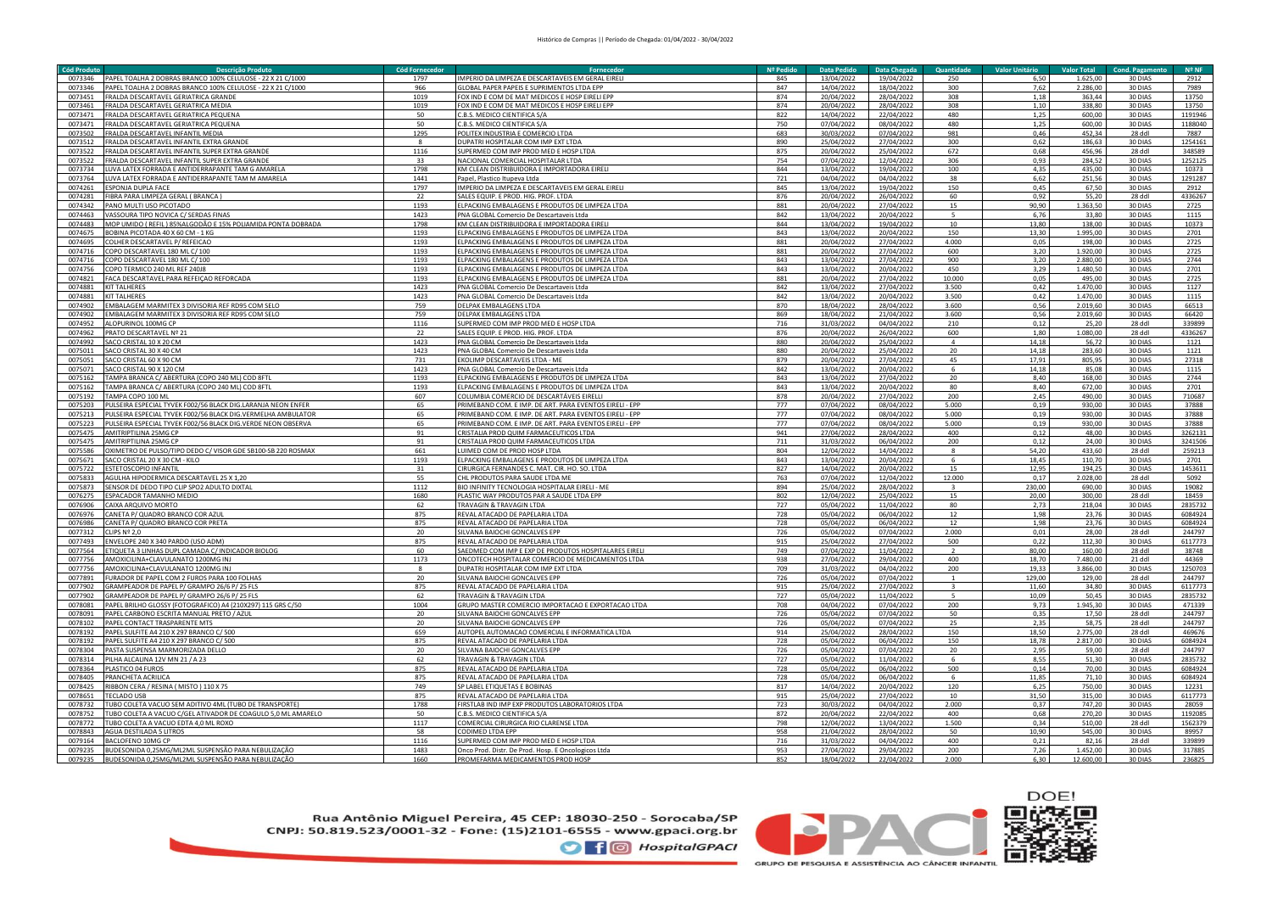| <b>Cód Produto</b> | <b>Descrição Produt</b>                                      | <b>Cód Fornecedo</b> | Fornecedo                                               | Nº Pedido        | <b>Data Pedido</b>   | Data Chegada | Quantidade     | <b>Valor Unitário</b> | <b>Valor Total</b> | <b>Cond. Pagamento</b> | Nº <sub>NF</sub> |
|--------------------|--------------------------------------------------------------|----------------------|---------------------------------------------------------|------------------|----------------------|--------------|----------------|-----------------------|--------------------|------------------------|------------------|
| 0073346            | PAPEL TOALHA 2 DOBRAS BRANCO 100% CELULOSE - 22 X 21 C/1000  | 1797                 | IMPERIO DA LIMPEZA E DESCARTAVEIS EM GERAL EIRELI       | 845              | 13/04/2022           | 19/04/2022   | 250            | 6,50                  | 1.625,00           | 30 DIAS                | 2912             |
| 0073346            | PAPEL TOALHA 2 DOBRAS BRANCO 100% CELULOSE - 22 X 21 C/1000  | 966                  | GLOBAL PAPER PAPEIS E SUPRIMENTOS LTDA EPP              | 847              | 14/04/2022           | 18/04/2022   | 300            | 7,62                  | 2.286,00           | 30 DIAS                | 7989             |
| 0073451            | FRALDA DESCARTAVEL GERIATRICA GRANDE                         | 1019                 | FOX IND E COM DE MAT MEDICOS E HOSP EIRELI EPP          | 874              | 20/04/2022           | 28/04/2022   | 308            | 1,18                  | 363,44             | 30 DIAS                | 13750            |
|                    |                                                              |                      |                                                         |                  |                      |              |                |                       |                    |                        |                  |
| 0073461            | FRALDA DESCARTAVEL GERIATRICA MEDIA                          | 1019                 | FOX IND E COM DE MAT MEDICOS E HOSP EIRELI EPP          | 874              | 20/04/2022           | 28/04/2022   | 308            | 1,10                  | 338,80             | 30 DIAS                | 13750            |
| 0073471            | FRALDA DESCARTAVEL GERIATRICA PEQUENA                        | 50                   | C.B.S. MEDICO CIENTIFICA S/A                            | 822              | 14/04/2022           | 22/04/2022   | 480            | 1,25                  | 600,00             | 30 DIAS                | 1191946          |
| 0073471            | FRALDA DESCARTAVEL GERIATRICA PEQUENA                        | 50                   | C.B.S. MEDICO CIENTIFICA S/A                            | 750              | 07/04/2022           | 08/04/2022   | 480            | 1,25                  | 600,00             | 30 DIAS                | 1188040          |
| 0073502            | FRALDA DESCARTAVEL INFANTIL MEDIA                            | 1295                 | POLITEX INDUSTRIA E COMERCIO LTDA                       | 683              | 30/03/2022           | 07/04/2022   | 981            | 0,46                  | 452.34             | 28 ddl                 | 7887             |
| 0073512            | FRALDA DESCARTAVEL INFANTIL EXTRA GRAND                      |                      | DUPATRI HOSPITALAR COM IMP EXT LTDA                     | 890              | 25/04/2022           | 27/04/2022   | 300            | 0,62                  | 186,63             | 30 DIAS                | 125416:          |
| 007352             | FRALDA DESCARTAVEL INFANTIL SUPER EXTRA GRAND                | 1116                 | SUPERMED COM IMP PROD MED E HOSP LTD/                   | 875              | 20/04/2022           | 25/04/2022   | 672            | 0,68                  | 456.96             | 28 ddl                 | 348589           |
| 0073522            | FRALDA DESCARTAVEL INFANTIL SUPER EXTRA GRAND                | 33                   | NACIONAL COMERCIAL HOSPITALAR LTDA                      | 754              | 07/04/2022           | 12/04/2022   | 306            | 0.93                  | 284.52             | 30 DIAS                | 1252125          |
| 0073734            | UVA LATEX FORRADA E ANTIDERRAPANTE TAM G AMAREL              | 1798                 | KM CLEAN DISTRIBUIDORA E IMPORTADORA EIREL              | 844              | 13/04/2022           | 19/04/2022   | 100            | 4.35                  | 435,00             | 30 DIAS                | 10373            |
| 0073764            | <b>LUVA LATEX FORRADA E ANTIDERRAPANTE TAM M AMARELA</b>     | 1441                 | Papel. Plastico Itupeva Ltda                            | 721              | 04/04/2022           | 04/04/2022   | 38             | 6,62                  | 251,56             | 30 DIAS                | 1291287          |
| 0074261            | <b>FSPONIA DUPLA FACE</b>                                    | 1797                 | IMPERIO DA LIMPEZA E DESCARTAVEIS EM GERAL EIRELI       | 845              | 13/04/2022           | 19/04/2022   | 150            | 0.45                  | 67.50              | 30 DIAS                | 2912             |
|                    |                                                              |                      |                                                         |                  |                      |              |                |                       |                    |                        |                  |
| 0074281            | FIBRA PARA LIMPEZA GERAL (BRANCA)                            | 22                   | SALES EQUIP. E PROD. HIG. PROF. LTDA                    | 876              | 20/04/2022           | 26/04/2022   | 60             | 0,92                  | 55,20              | 28 ddl                 | 4336267          |
| 0074342            | PANO MULTI USO PICOTADO                                      | 1193                 | ELPACKING EMBALAGENS E PRODUTOS DE LIMPEZA LTDA         | 881              | 20/04/2022           | 27/04/2022   | 15             | 90.90                 | 1.363.50           | 30 DIAS                | 2725             |
| 0074463            | VASSOURA TIPO NOVICA C/ SERDAS FINAS                         | 1423                 | PNA GLOBAL Comercio De Descartaveis Ltda                | 842              | 13/04/2022           | 20/04/2022   | -5             | 6.76                  | 33.80              | 30 DIAS                | 1115             |
| 0074483            | MOP UMIDO (REFIL) 85%ALGODÃO E 15% POLIAMIDA PONTA DOBRADA   | 1798                 | KM CLEAN DISTRIBUIDORA E IMPORTADORA EIRELI             | 844              | 13/04/2022           | 19/04/2022   | 10             | 13,80                 | 138,00             | 30 DIAS                | 10373            |
| 0074675            | 3OBINA PICOTADA 40 X 60 CM - 1 KG                            | 1193                 | ELPACKING EMBALAGENS E PRODUTOS DE LIMPEZA LTDA         | 843              | 13/04/2022           | 20/04/2022   | 150            | 13,30                 | 1.995,00           | 30 DIAS                | 2701             |
| 0074695            | COLHER DESCARTAVEL P/ REFEICAO                               | 1193                 | ELPACKING EMBALAGENS E PRODUTOS DE LIMPEZA LTDA         | 881              | 20/04/2022           | 27/04/2022   | 4.000          | 0,05                  | 198,00             | 30 DIAS                | 2725             |
| 0074716            | COPO DESCARTAVEL 180 ML C/100                                | 1193                 | ELPACKING EMBALAGENS E PRODUTOS DE LIMPEZA LTDA         | 881              | 20/04/2022           | 27/04/2022   | 600            | 3,20                  | 1.920,00           | 30 DIAS                | 2725             |
| 0074716            | OPO DESCARTAVEL 180 ML C/100                                 | 1193                 | ELPACKING EMBALAGENS E PRODUTOS DE LIMPEZA LTDA         | 843              | 13/04/2022           | 27/04/2022   | 900            | 3,20                  | 2.880,00           | 30 DIAS                | 2744             |
| 0074756            | OPO TERMICO 240 MI REE 24018                                 | 1193                 | ELPACKING EMBALAGENS E PRODUTOS DE LIMPEZA LTDA         | 843              | 13/04/2022           | 20/04/2022   | 450            | 3,29                  | 1.480.50           | 30 DIAS                | 2701             |
| 0074821            |                                                              |                      |                                                         |                  |                      |              |                |                       |                    |                        |                  |
|                    | ACA DESCARTAVEL PARA REFEIÇAO REFORCADA                      | 1193                 | ELPACKING EMBALAGENS E PRODUTOS DE LIMPEZA LTDA         | 881              | 20/04/2022           | 27/04/2022   | 10.000         | 0,05                  | 495,00             | 30 DIAS                | 2725             |
| 0074881            | <b>KIT TAI HFRFS</b>                                         | 1423                 | PNA GLOBAL Comercio De Descartaveis Ltda                | 842              | 13/04/2022           | 27/04/2022   | 3.500          | 0,42                  | 1.470.00           | 30 DIAS                | 1127             |
| 0074881            | KIT TALHERES                                                 | 1423                 | PNA GLOBAL Comercio De Descartaveis Ltda                | 842              | 13/04/2022           | 20/04/2022   | 3.500          | 0,42                  | 1.470,00           | 30 DIAS                | 1115             |
| 0074902            | EMBALAGEM MARMITEX 3 DIVISORIA REF RD95 COM SELO             | 759                  | DELPAK EMBALAGENS LTDA                                  | 870              | 18/04/2022           | 28/04/2022   | 3.600          | 0,56                  | 2.019.60           | 30 DIAS                | 66513            |
| 0074902            | EMBALAGEM MARMITEX 3 DIVISORIA REF RD95 COM SELO             | 759                  | DELPAK EMBALAGENS LTDA                                  | 869              | 18/04/2022           | 21/04/2022   | 3.600          | 0,56                  | 2.019,60           | 30 DIAS                | 66420            |
| 0074952            | ALOPURINOL 100MG CP                                          | 1116                 | SUPERMED COM IMP PROD MED E HOSP LTDA                   | 716              | 31/03/2022           | 04/04/2022   | 210            | 0,12                  | 25,20              | 28 ddl                 | 339899           |
| 0074962            | PRATO DESCARTAVEL Nº 21                                      | 22                   | SALES FOLIJP E PROD. HIG. PROF. LTDA                    | 876              | 20/04/2022           | 26/04/2022   | 600            | 1.80                  | 1.080,00           | <b>28 ddl</b>          | 4336267          |
| 0074992            | <b>SACO CRISTAL 10 X 20 CM</b>                               | 1423                 | PNA GLOBAL Comercio De Descartaveis Ltda                | 880              | 20/04/2022           | 25/04/2022   | $\Delta$       | 14.18                 | 56.72              | 30 DIAS                | 1121             |
| 0075011            | SACO CRISTAL 30 X 40 CM                                      | 1423                 | PNA GLOBAL Comercio De Descartaveis Ltda                | 880              | 20/04/2022           | 25/04/2022   | 20             | 14.18                 | 283.60             | 30 DIAS                | 1121             |
| 0075051            | SACO CRISTAL 60 X 90 CM                                      | 731                  |                                                         |                  |                      |              | 45             |                       |                    |                        |                  |
|                    |                                                              |                      | EKOLIMP DESCARTAVEIS LTDA - ME                          | 879              | 20/04/2022           | 27/04/2022   |                | 17,91                 | 805,95             | 30 DIAS                | 27318            |
| 0075071            | SACO CRISTAL 90 X 120 CM                                     | 1423                 | PNA GLOBAL Comercio De Descartaveis Ltda                | 842              | 13/04/2022           | 20/04/2022   | 6              | 14,18                 | 85,08              | 30 DIAS                | 1115             |
| 0075162            | TAMPA BRANCA C/ ABERTURA (COPO 240 ML) COD 8FTL              | 1193                 | ELPACKING EMBALAGENS E PRODUTOS DE LIMPEZA LTDA         | 843              | 13/04/2022           | 27/04/2022   | 20             | 8,40                  | 168,00             | 30 DIAS                | 2744             |
| 0075162            | TAMPA BRANCA C/ ABERTURA (COPO 240 ML) COD 8FTL              | 1193                 | ELPACKING EMBALAGENS E PRODUTOS DE LIMPEZA LTDA         | 843              | 13/04/2022           | 20/04/2022   | 80             | 8,40                  | 672,00             | 30 DIAS                | 2701             |
| 0075192            | TAMPA COPO 100 ML                                            | 607                  | COLUMBIA COMERCIO DE DESCARTÁVEIS EIRELLI               | 878              | 20/04/2022           | 27/04/2022   | 200            | 2,45                  | 490,00             | 30 DIAS                | 710687           |
| 0075203            | PULSEIRA ESPECIAL TYVEK F002/56 BLACK DIG.LARANJA NEON ENFER | 65                   | PRIMEBAND COM. E IMP. DE ART. PARA EVENTOS EIRELI - EPP | 777              | $\frac{07}{04/2022}$ | 08/04/2022   | 5.000          | 0,19                  | 930,00             | 30 DIAS                | 37888            |
| 0075213            | PULSEIRA ESPECIAL TYVEK F002/56 BLACK DIG.VERMELHA AMBULATOR | 65                   | PRIMEBAND COM. E IMP. DE ART. PARA EVENTOS EIRELI - EPP | $\overline{777}$ | 07/04/2022           | 08/04/2022   | 5.000          | 0,19                  | 930.00             | 30 DIAS                | 37888            |
| 0075223            | PULSEIRA ESPECIAL TYVEK F002/56 BLACK DIG.VERDE NEON OBSERVA | 65                   | PRIMEBAND COM. E IMP. DE ART. PARA EVENTOS EIRELI - EPP | 777              | 07/04/2022           | 08/04/2022   | 5.000          | 0,19                  | 930,00             | 30 DIAS                | 37888            |
| 0075475            | AMITRIPTILINA 25MG CP                                        | 91                   | RISTALIA PROD QUIM FARMACEUTICOS LTDA                   | 941              | 27/04/2022           | 28/04/2022   | 400            | 0,12                  | 48,00              | 30 DIAS                | 3262131          |
| 0075475            | AMITRIPTILINA 25MG CP                                        | 91                   | CRISTALIA PROD QUIM FARMACEUTICOS LTDA                  | 711              | 31/03/2022           | 06/04/2022   | 200            | 0,12                  | 24,00              | 30 DIAS                | 3241506          |
| 0075586            |                                                              |                      |                                                         |                  |                      |              | 8              |                       |                    |                        |                  |
|                    | OXIMETRO DE PULSO/TIPO DEDO C/ VISOR GDE SB100-SB 220 ROSMAX | 661                  | UIMED COM DE PROD HOSP LTDA                             | 804              | 12/04/2022           | 14/04/2022   |                | 54,20                 | 433,60             | 28 ddl                 | 259213           |
| 0075671            | SACO CRISTAL 20 X 30 CM - KILO                               | 1193                 | ELPACKING EMBALAGENS E PRODUTOS DE LIMPEZA LTDA         | 843              | 13/04/2022           | 20/04/2022   | 6              | 18,45                 | 110,70             | 30 DIAS                | 2701             |
| 0075722            | <b>FSTETOSCOPIO INFANTIL</b>                                 | 31                   | CIRURGICA FERNANDES C. MAT. CIR. HO. SO. LTDA           | 827              | 14/04/2022           | 20/04/2022   | 15             | 12,95                 | 194,25             | 30 DIAS                | 1453611          |
| 0075833            | AGULHA HIPODERMICA DESCARTAVEL 25 X 1,20                     | 55                   | CHL PRODUTOS PARA SAUDE LTDA ME                         | 763              | 07/04/2022           | 12/04/2022   | 12.000         | 0,17                  | 2.028,00           | 28 ddl                 | 5092             |
| 0075873            | SENSOR DE DEDO TIPO CLIP SPO2 ADULTO DIXTAL                  | 1112                 | BIO INFINITY TECNOLOGIA HOSPITALAR EIRELI - ME          | 894              | 25/04/2022           | 28/04/2022   |                | 230,00                | 690.00             | 30 DIAS                | 19082            |
| 0076275            | ESPACADOR TAMANHO MEDIO                                      | 1680                 | PLASTIC WAY PRODUTOS PAR A SAUDE LTDA EPP               | 802              | 12/04/2022           | 25/04/2022   | 15             | 20.00                 | 300.00             | 28 ddl                 | 18459            |
| 0076906            | CAIXA ARQUIVO MORTO                                          | 62                   | <b>TRAVAGIN &amp; TRAVAGIN LTDA</b>                     | 727              | 05/04/2022           | 11/04/2022   | 80             | 2.73                  | 218.04             | 30 DIAS                | 2835732          |
| 0076976            | CANETA P/ QUADRO BRANCO COR AZUI                             | 875                  | REVAL ATACADO DE PAPELARIA LTDA                         | 728              | 05/04/2022           | 06/04/2022   | 12             | 1,98                  | 23,76              | 30 DIAS                | 6084924          |
| 0076986            | CANETA P/ QUADRO BRANCO COR PRETA                            | 875                  | REVAL ATACADO DE PAPELARIA LTDA                         | 728              | 05/04/2022           | 06/04/2022   | 12             | 1.98                  | 23.76              | 30 DIAS                | 6084924          |
| 0077312            | CLIPS Nº 2,0                                                 | 20                   | SILVANA BAIOCHI GONCALVES EPP                           | 726              | 05/04/2022           | 07/04/2022   | 2.000          | 0,01                  | 28,00              | 28 ddl                 | 244797           |
|                    |                                                              |                      |                                                         |                  |                      |              |                |                       |                    |                        |                  |
| 0077493            | ENVELOPE 240 X 340 PARDO (USO ADM)                           | 875                  | REVAL ATACADO DE PAPELARIA LTDA                         | 915              | 25/04/2022           | 27/04/2022   | 500            | 0,22                  | 112,30             | 30 DIAS                | 6117773          |
| 0077564            | ETIQUETA 3 LINHAS DUPL CAMADA C/ INDICADOR BIOLOG            | 60                   | SAEDMED COM IMP E EXP DE PRODUTOS HOSPITALARES EIRELI   | 749              | 07/04/2022           | 11/04/2022   | $\overline{2}$ | 80,00                 | 160,00             | 28 ddl                 | 38748            |
| 0077756            | AMOXICILINA+CLAVULANATO 1200MG INJ                           | 1173                 | ONCOTECH HOSPITALAR COMERCIO DE MEDICAMENTOS LTDA       | 938              | 27/04/2022           | 29/04/2022   | 400            | 18,70                 | 7.480,00           | 21 ddl                 | 44369            |
| 0077756            | AMOXICILINA+CLAVULANATO 1200MG INJ                           | 8                    | <b>DUPATRI HOSPITALAR COM IMP EXT LTDA</b>              | 709              | 31/03/2022           | 04/04/2022   | 200            | 19,33                 | 3.866,00           | 30 DIAS                | 1250703          |
| 0077891            | URADOR DE PAPEL COM 2 FUROS PARA 100 FOLHAS                  | 20                   | SILVANA BAIOCHI GONCALVES EPP                           | 726              | 05/04/2022           | 07/04/2022   | $\mathbf{1}$   | 129.00                | 129.00             | 28 ddl                 | 244797           |
| 0077902            | RAMPEADOR DE PAPEL P/ GRAMPO 26/6 P/ 25 FLS                  | 875                  | REVAL ATACADO DE PAPELARIA LTDA                         | 915              | 25/04/2022           | 27/04/2022   |                | 11,60                 | 34,80              | 30 DIAS                | 6117773          |
| 0077902            | RAMPEADOR DE PAPEL P/ GRAMPO 26/6 P/ 25 FLS                  | 62                   | TRAVAGIN & TRAVAGIN I TDA                               | 727              | 05/04/2022           | 11/04/2022   | 5              | 10,09                 | 50,45              | 30 DIAS                | 2835732          |
| 0078081            | PAPEL BRILHO GLOSSY (FOTOGRAFICO) A4 (210X297) 115 GRS C/50  | 1004                 | GRUPO MASTER COMERCIO IMPORTACAO E EXPORTACAO LTDA      | 708              | 04/04/2022           | 07/04/2022   | 200            | 9,73                  | 1.945.30           | 30 DIAS                | 471339           |
| 0078091            | PAPEL CARBONO ESCRITA MANUAL PRETO / AZUL                    | 20                   | SILVANA BAIOCHI GONCALVES EPP                           | 726              | 05/04/2022           | 07/04/2022   | 50             | 0,35                  | 17,50              | 28 ddl                 | 244797           |
| 0078102            | PAPEL CONTACT TRASPARENTE MTS                                | 20                   | SILVANA BAIOCHI GONCALVES EPP                           | 726              | 05/04/2022           | 07/04/2022   | 25             | 2,35                  | 58,75              | 28 ddl                 | 244797           |
| 0078192            |                                                              | 659                  |                                                         |                  |                      |              |                | 18.50                 |                    |                        |                  |
|                    | PAPEL SULFITE A4 210 X 297 BRANCO C/ 500                     |                      | AUTOPEL AUTOMACAO COMERCIAL E INFORMATICA LTDA          | 914              | 25/04/2022           | 28/04/2022   | 150            |                       | 2.775,00           | 28 ddl                 | 469676           |
| 0078192            | PAPEL SULFITE A4 210 X 297 BRANCO C/ 500                     | 875                  | REVAL ATACADO DE PAPELARIA LTDA                         | 728              | 05/04/2022           | 06/04/2022   | 150            | 18,78                 | 2.817.00           | 30 DIAS                | 6084924          |
| 0078304            | PASTA SUSPENSA MARMORIZADA DELLO                             | 20                   | SILVANA BAIOCHI GONCALVES EPP                           | 726              | 05/04/2022           | 07/04/2022   | 20             | 2,95                  | 59,00              | 28 ddl                 | 244797           |
| 0078314            | PILHA ALCALINA 12V MN 21 / A 23                              | 62                   | <b>TRAVAGIN &amp; TRAVAGIN LTDA</b>                     | 727              | 05/04/2022           | 11/04/2022   | $\mathbf{f}$   | 8.55                  | 51.30              | 30 DIAS                | 2835732          |
| 0078364            | PLASTICO 04 FUROS                                            | 875                  | REVAL ATACADO DE PAPELARIA LTDA                         | 728              | 05/04/2022           | 06/04/2022   | 500            | 0,14                  | 70,00              | 30 DIAS                | 6084924          |
| 0078405            | PRANCHETA ACRILICA                                           | 875                  | REVAL ATACADO DE PAPELARIA LTDA                         | 728              | 05/04/2022           | 06/04/2022   | 6              | 11.85                 | 71,10              | 30 DIAS                | 6084924          |
| 0078425            | RIBBON CERA / RESINA ( MISTO ) 110 X 75                      | 749                  | SP LABEL ETIQUETAS E BOBINAS                            | 817              | 14/04/2022           | 20/04/2022   | 120            | 6,25                  | 750,00             | 30 DIAS                | 12231            |
| 0078651            | <b>TECLADO USB</b>                                           | 875                  | REVAL ATACADO DE PAPELARIA LTDA                         | 915              | 25/04/2022           | 27/04/2022   | 10             | 31,50                 | 315,00             | 30 DIAS                | 6117773          |
| 0078732            | TUBO COLETA VACUO SEM ADITIVO 4ML (TUBO DE TRANSPORTE)       | 1788                 | FIRSTLAB IND IMP EXP PRODUTOS LABORATORIOS LTDA         | 723              | 30/03/2022           | 04/04/2022   | 2.000          | 0,37                  | 747,20             | 30 DIAS                | 28059            |
|                    |                                                              |                      |                                                         |                  |                      |              |                |                       |                    |                        |                  |
| 0078752            | TUBO COLETA A VACUO C/GEL ATIVADOR DE COAGULO 5,0 ML AMARELO | 50                   | C.B.S. MEDICO CIENTIFICA S/A                            | 872              | 20/04/2022           | 22/04/2022   | 400            | 0,68                  | 270,20             | 30 DIAS                | 1192085          |
| 0078772            | TUBO COLETA A VACUO EDTA 4,0 ML ROXO                         | 1117                 | COMERCIAL CIRURGICA RIO CLARENSE LTDA                   | 798              | 12/04/2022           | 13/04/2022   | 1.500          | 0,34                  | 510,00             | 28 ddl                 | 1562379          |
| 0078843            | <b>AGUA DESTILADA 5 LITROS</b>                               | 58                   | CODIMED LTDA EPP                                        | 958              | 21/04/2022           | 28/04/2022   | 50             | 10,90                 | 545,00             | 30 DIAS                | 89957            |
| 0079164            | BACLOFENO 10MG CP                                            | 1116                 | SUPERMED COM IMP PROD MED E HOSP LTDA                   | 716              | 31/03/2022           | 04/04/2022   | 400            | 0,21                  | 82,16              | 28 ddl                 | 339899           |
| 0079235            | BUDESONIDA 0,25MG/ML2ML SUSPENSÃO PARA NEBULIZAÇÃO           | 1483                 | Onco Prod. Distr. De Prod. Hosp. E Oncologicos Ltda     | 953              | 27/04/2022           | 29/04/2022   | 200            | 7,26                  | 1.452,00           | 30 DIAS                | 317885           |
|                    | 0079235 BUDESONIDA 0,25MG/ML2ML SUSPENSÃO PARA NEBULIZAÇÃO   | 1660                 | PROMEFARMA MEDICAMENTOS PROD HOSP                       | 852              | 18/04/2022           | 22/04/2022   | 2.000          | 6.30                  | 12.600,00          | 30 DIAS                | 236825           |

Rua Antônio Miguel Pereira, 45 CEP: 18030-250 - Sorocaba/SP<br>CNPJ: 50.819.523/0001-32 - Fone: (15)2101-6555 - www.gpaci.org.br **O** f © HospitalGPACI

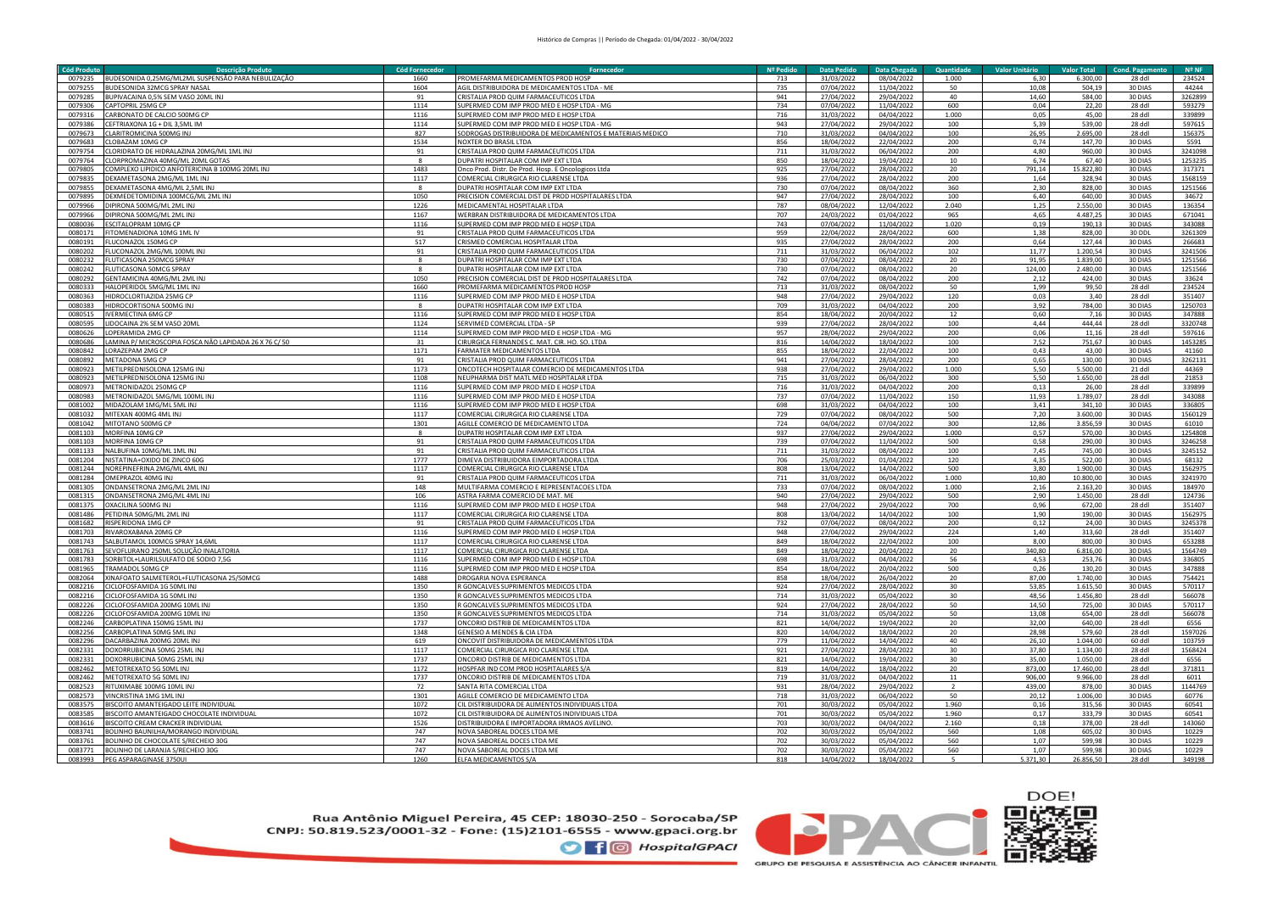| Cód Produto | <b>Descrição Produto</b>                              | <b>Cód Fornecedor</b> | Fornecedor                                               | Nº Pedido | <b>Data Pedido</b> | Data Chegada     | Quantidade     | <b>Valor Unitário</b> | <b>Valor Total</b> | <b>Cond. Pagamento</b> | $N^{\circ}$ NF |
|-------------|-------------------------------------------------------|-----------------------|----------------------------------------------------------|-----------|--------------------|------------------|----------------|-----------------------|--------------------|------------------------|----------------|
| 0079235     | UDESONIDA 0,25MG/ML2ML SUSPENSÃO PARA NEBULIZAÇÃO     | 1660                  | ROMEFARMA MEDICAMENTOS PROD HOSP                         | 713       | 31/03/2022         | 08/04/2022       | 1.000          | 6,30                  | 6.300,00           | 28 ddl                 | 234524         |
| 0079255     | BUDESONIDA 32MCG SPRAY NASAL                          | 1604                  | GIL DISTRIBUIDORA DE MEDICAMENTOS LTDA - ME              | 735       | 07/04/2022         | 11/04/2022       | 50             | 10,08                 | 504,19             | 30 DIAS                | 44244          |
| 0079285     | BUPIVACAINA 0,5% SEM VASO 20ML INJ                    | 91                    | RISTALIA PROD QUIM FARMACEUTICOS LTDA                    | 941       | 27/04/2022         | 29/04/2022       | 40             | 14,60                 | 584,00             | 30 DIAS                | 3262899        |
|             |                                                       |                       |                                                          |           |                    |                  |                |                       |                    |                        |                |
| 0079306     | CAPTOPRIL 25MG CP                                     | 1114                  | UPERMED COM IMP PROD MED E HOSP LTDA - MG                | 734       | 07/04/2022         | 11/04/2022       | 600            | 0,04                  | 22,20              | 28 ddl                 | 593279         |
| 0079316     | CARBONATO DE CALCIO 500MG CP                          | 1116                  | UPERMED COM IMP PROD MED E HOSP LTDA                     | 716       | 31/03/2022         | 04/04/2022       | 1.000          | 0,05                  | 45,00              | 28 ddl                 | 339899         |
| 0079386     | CEFTRIAXONA 1G + DIL 3,5ML IM                         | 1114                  | SUPERMED COM IMP PROD MED E HOSP LTDA - MG               | 943       | 27/04/2022         | 29/04/2022       | 100            | 5,39                  | 539,00             | 28 ddl                 | 597615         |
| 0079673     | CLARITROMICINA 500MG INJ                              | 827                   | ODROGAS DISTRIBUIDORA DE MEDICAMENTOS E MATERIAIS MEDICO | 710       | 31/03/2022         | 04/04/2022       | 100            | 26,95                 | 2.695,00           | 28 ddl                 | 156375         |
| 0079683     | CLOBAZAM 10MG CP                                      | 1534                  | NOXTER DO BRASIL LTDA                                    | 856       | 18/04/2022         | 22/04/2022       | 200            | 0.74                  | 147,70             | 30 DIAS                | 5591           |
| 0079754     | CLORIDRATO DE HIDRALAZINA 20MG/ML 1ML INJ             | Q <sub>1</sub>        | CRISTALIA PROD QUIM FARMACEUTICOS LTDA                   | 711       | 31/03/2022         | 06/04/2022       | 200            | 4.80                  | 960,00             | 30 DIAS                | 3241098        |
| 0079764     | CLORPROMAZINA 40MG/ML 20ML GOTAS                      |                       | <b>DUPATRI HOSPITALAR COM IMP EXT LTDA</b>               | 850       | 18/04/2022         | 19/04/2022       | 10             | 6.74                  | 67,40              | 30 DIAS                | 1253235        |
| 0079805     | COMPLEXO LIPIDICO ANFOTERICINA B 100MG 20ML INJ       | 1483                  | Onco Prod. Distr. De Prod. Hosp. E Oncologicos Ltda      | 925       | 27/04/2022         | 28/04/2022       | 20             | 791.14                | 15.822.80          | 30 DIAS                | 317371         |
|             |                                                       |                       |                                                          |           |                    |                  |                |                       |                    |                        |                |
| 0079835     | DEXAMETASONA 2MG/ML 1ML INJ                           | 1117                  | COMERCIAL CIRURGICA RIO CLARENSE LTDA                    | 936       | 27/04/2022         | 28/04/2022       | 200            | 1.64                  | 328,94             | 30 DIAS                | 1568159        |
| 0079855     | DEXAMETASONA 4MG/ML 2,5ML INJ                         |                       | <b>DUPATRI HOSPITALAR COM IMP EXT LTDA</b>               | 730       | 07/04/2022         | 08/04/2022       | 360            | 2,30                  | 828,00             | 30 DIAS                | 1251566        |
| 0079895     | DEXMEDETOMIDINA 100MCG/ML 2ML INJ                     | 1050                  | PRECISION COMERCIAL DIST DE PROD HOSPITALARES LTDA       | 947       | 27/04/2022         | 28/04/2022       | 100            | 6,40                  | 640,00             | 30 DIAS                | 34672          |
| 0079966     | IPIRONA 500MG/ML 2ML INJ                              | 1226                  | MEDICAMENTAL HOSPITALAR LTDA                             | 787       | 08/04/2022         | 12/04/2022       | 2.040          | 1,25                  | 2.550,00           | 30 DIAS                | 136354         |
| 0079966     | DIPIRONA 500MG/ML 2ML INJ                             | 1167                  | WERBRAN DISTRIBUIDORA DE MEDICAMENTOS LTDA               | 707       | 24/03/2022         | 01/04/2022       | 965            | 4,65                  | 4.487,25           | 30 DIAS                | 671041         |
| 0080036     | ESCITALOPRAM 10MG CP                                  | 1116                  | UPERMED COM IMP PROD MED E HOSP LTDA                     | 743       | 07/04/2022         | 11/04/2022       | 1.020          | 0,19                  | 190,13             | 30 DIAS                | 343088         |
| 0080171     | ITOMENADIONA 10MG 1ML IV                              | 91                    | RISTALIA PROD QUIM FARMACEUTICOS LTDA                    | 959       | 22/04/2022         | 28/04/2022       | 600            | 1,38                  | 828,00             | 30 DDL                 | 3261309        |
| 0080191     | LUCONAZOL 150MG CP                                    | 517                   | RISMED COMERCIAL HOSPITALAR LTDA                         | 935       | 27/04/2022         | 28/04/2022       | 200            | 0,64                  | 127,44             | 30 DIAS                | 266683         |
|             |                                                       |                       |                                                          |           |                    |                  |                |                       |                    |                        |                |
| 0080202     | LUCONAZOL 2MG/ML 100ML INJ                            | 91                    | RISTALIA PROD QUIM FARMACEUTICOS LTDA                    | 711       | 31/03/2022         | 06/04/2022       | 102            | 11,77                 | 1.200,54           | 30 DIAS                | 3241506        |
| 0080232     | LUTICASONA 250MCG SPRAY                               | $\mathbf{g}$          | UPATRI HOSPITALAR COM IMP EXT LTDA                       | 730       | 07/04/2022         | 08/04/2022       | 20             | 91.95                 | 1.839.00           | 30 DIAS                | 1251566        |
| 0080242     | LUTICASONA 50MCG SPRAY                                |                       | UPATRI HOSPITALAR COM IMP FXT I TDA                      | 730       | 07/04/2022         | 08/04/2022       | 20             | 124,00                | 2.480,00           | 30 DIAS                | 1251566        |
| 0080292     | <b>GENTAMICINA 40MG/ML2MLINI</b>                      | 1050                  | PRECISION COMERCIAL DIST DE PROD HOSPITALARES LTDA       | 742       | 07/04/2022         | 08/04/2022       | 200            | 2,12                  | 424.00             | 30 DIAS                | 33624          |
| 0080333     | HALOPERIDOL 5MG/ML 1ML INJ                            | 1660                  | PROMEFARMA MEDICAMENTOS PROD HOSP                        | 713       | 31/03/2022         | 08/04/2022       | 50             | 1,99                  | 99,50              | 28 ddl                 | 234524         |
| 0080363     | IIDROCLORTIAZIDA 25MG CP                              | 1116                  | UPERMED COM IMP PROD MED E HOSP LTDA                     | 948       | 27/04/2022         | 29/04/2022       | 120            | 0,03                  | 3,40               | 28 ddl                 | 351407         |
| 0080383     | <b>IIDROCORTISONA 500MG INJ</b>                       | $\mathbf{R}$          | DUPATRI HOSPITALAR COM IMP EXT LTDA                      | 709       | 31/03/2022         | 04/04/2022       | 200            | 3,92                  | 784,00             | 30 DIAS                | 1250703        |
| 0080515     | VERMECTINA 6MG CP                                     | 1116                  | SUPERMED COM IMP PROD MED E HOSP LTDA                    | 854       | 18/04/2022         | 20/04/2022       | 12             | 0,60                  | 7,16               | 30 DIAS                | 347888         |
|             |                                                       |                       |                                                          |           |                    |                  |                |                       |                    |                        |                |
| 0080595     | IDOCAINA 2% SEM VASO 20ML                             | 1124                  | SERVIMED COMERCIAL LTDA - SP                             | 939       | 27/04/2022         | 28/04/2022       | 100            | 4.44                  | 444.44             | 28 ddl                 | 3320748        |
| 0080626     | OPERAMIDA 2MG CP                                      | 1114                  | SUPERMED COM IMP PROD MED E HOSP LTDA - MG               | 957       | 28/04/2022         | 29/04/2022       | 200            | 0.06                  | 11.16              | 28 ddl                 | 597616         |
| 0080686     | AMINA P/ MICROSCOPIA FOSCA NÃO LAPIDADA 26 X 76 C/ 50 | 31                    | IRURGICA FERNANDES C. MAT. CIR. HO. SO. LTDA             | 816       | 14/04/2022         | 18/04/2022       | 100            | 7,52                  | 751,67             | 30 DIAS                | 1453285        |
| 0080842     | ORAZEPAM 2MG CP                                       | 1171                  | ARMATER MEDICAMENTOS LTDA                                | 855       | 18/04/2022         | 22/04/2022       | 100            | 0,43                  | 43,00              | 30 DIAS                | 41160          |
| 0080892     | METADONA 5MG CP                                       | 91                    | CRISTALIA PROD QUIM FARMACEUTICOS LTDA                   | 941       | 27/04/2022         | 28/04/2022       | 200            | 0.65                  | 130.00             | 30 DIAS                | 3262131        |
| 0080923     | METILPREDNISOLONA 125MG INJ                           | 1173                  | ONCOTECH HOSPITALAR COMERCIO DE MEDICAMENTOS LTDA        | 938       | 27/04/2022         | 29/04/2022       | 1.000          | 5,50                  | 5.500,00           | 21 ddl                 | 44369          |
| 0080923     | METILPREDNISOLONA 125MG INJ                           | 1108                  | NEUPHARMA DIST MATL MED HOSPITALAR LTDA                  | 715       | 31/03/2022         | 06/04/2022       | 300            | 5,50                  | 1.650,00           | 28 ddl                 | 21853          |
|             |                                                       |                       |                                                          |           |                    |                  |                |                       |                    |                        |                |
| 0080973     | METRONIDAZOL 250MG CP                                 | 1116                  | SUPERMED COM IMP PROD MED E HOSP LTDA                    | 716       | 31/03/2022         | 04/04/2022       | 200            | 0,13                  | 26,00              | 28 ddl                 | 339899         |
| 0080983     | METRONIDAZOL 5MG/ML 100ML INJ                         | 1116                  | UPERMED COM IMP PROD MED E HOSP LTDA                     | 737       | 07/04/2022         | 11/04/2022       | 150            | 11,93                 | 1.789,07           | 28 ddl                 | 343088         |
| 0081002     | MIDAZOLAM 1MG/ML 5ML INJ                              | 1116                  | UPERMED COM IMP PROD MED E HOSP LTDA                     | 698       | 31/03/2022         | $\sqrt{04/2022}$ | 100            | 3,41                  | 341,10             | 30 DIAS                | 336805         |
| 0081032     | MITEXAN 400MG 4ML INJ                                 | 1117                  | COMERCIAL CIRURGICA RIO CLARENSE LTDA                    | 729       | 07/04/2022         | 08/04/2022       | 500            | 7,20                  | 3.600.00           | 30 DIAS                | 1560129        |
| 0081042     | MITOTANO 500MG CP                                     | 1301                  | GILLE COMERCIO DE MEDICAMENTO LTDA                       | 724       | 04/04/2022         | 07/04/2022       | 300            | 12,86                 | 3.856,59           | 30 DIAS                | 61010          |
| 0081103     | MORFINA 10MG CP                                       |                       | UPATRI HOSPITALAR COM IMP EXT LTDA                       | 937       | 27/04/2022         | 29/04/2022       | 1.000          | 0,57                  | 570,00             | 30 DIAS                | 1254808        |
| 0081103     | MORFINA 10MG CP                                       | 91                    | CRISTALIA PROD QUIM FARMACEUTICOS LTDA                   | 739       | 07/04/2022         | 11/04/2022       | 500            | 0,58                  | 290,00             | 30 DIAS                | 3246258        |
| 0081133     | NALBUFINA 10MG/ML 1ML INJ                             | 91                    | CRISTALIA PROD QUIM FARMACEUTICOS LTDA                   | 711       | 31/03/2022         | 08/04/2022       | 100            | 7,45                  | 745,00             | 30 DIAS                | 3245152        |
| 0081204     |                                                       | 1777                  | DIMEVA DISTRIBUIDORA EIMPORTADORA LTDA                   | 706       | 25/03/2022         | 01/04/2022       | 120            | 4.35                  | 522,00             | 30 DIAS                | 68132          |
|             | NISTATINA+OXIDO DE ZINCO 60G                          |                       |                                                          |           |                    |                  |                |                       |                    |                        |                |
| 0081244     | NOREPINEFRINA 2MG/ML 4ML INJ                          | 1117                  | COMERCIAL CIRURGICA RIO CLARENSE LTDA                    | 808       | 13/04/2022         | 14/04/2022       | 500            | 3,80                  | 1.900,00           | 30 DIAS                | 1562975        |
| 0081284     | OMEPRAZOL 40MG INJ                                    | 91                    | CRISTALIA PROD QUIM FARMACEUTICOS LTDA                   | 711       | 31/03/2022         | 06/04/2022       | 1.000          | 10,80                 | 10.800,00          | 30 DIAS                | 3241970        |
| 0081305     | ONDANSETRONA 2MG/ML 2ML IN                            | 148                   | MULTIFARMA COMERCIO E REPRESENTACOES LTDA                | 733       | 07/04/2022         | 08/04/2022       | 1.000          | 2.16                  | 2.163.20           | 30 DIAS                | 184970         |
| 0081315     | ONDANSETRONA 2MG/ML 4ML INJ                           | 106                   | STRA FARMA COMERCIO DE MAT. ME                           | 940       | 27/04/2022         | 29/04/2022       | 500            | 2.90                  | 1.450.00           | 28 ddl                 | 124736         |
| 0081375     | OXACILINA 500MG INJ                                   | 1116                  | UPERMED COM IMP PROD MED E HOSP LTDA                     | 948       | 27/04/2022         | 29/04/2022       | 700            | 0,96                  | 672,00             | 28 ddl                 | 351407         |
| 0081486     | PETIDINA 50MG/ML 2ML INJ                              | 1117                  | COMERCIAL CIRURGICA RIO CLARENSE LTDA                    | 808       | 13/04/2022         | 14/04/2022       | 100            | 1.90                  | 190.00             | 30 DIAS                | 1562975        |
| 0081682     | RISPERIDONA 1MG CP                                    | 91                    | CRISTALIA PROD QUIM FARMACEUTICOS LTDA                   | 732       | 07/04/2022         | 08/04/2022       | 200            | 0,12                  | 24,00              | 30 DIAS                | 3245378        |
| 0081703     | RIVAROXABANA 20MG CP                                  | 1116                  | SUPERMED COM IMP PROD MED E HOSP LTDA                    | 948       | 27/04/2022         | 29/04/2022       | 224            | 1,40                  | 313,60             | 28 ddl                 | 351407         |
|             |                                                       |                       |                                                          | 849       |                    |                  |                |                       |                    |                        |                |
| 0081743     | SALBUTAMOL 100MCG SPRAY 14,6ML                        | 1117                  | COMERCIAL CIRURGICA RIO CLARENSE LTDA                    |           | 18/04/2022         | 22/04/2022       | 100            | 8,00                  | 800,00             | 30 DIAS                | 653288         |
| 0081763     | EVOFLURANO 250ML SOLUÇÃO INALATORIA                   | 1117                  | COMERCIAL CIRURGICA RIO CLARENSE LTDA                    | 849       | 18/04/2022         | 20/04/2022       | 20             | 340,80                | 6.816,00           | 30 DIAS                | 1564749        |
| 0081783     | ORBITOL+LAURILSULFATO DE SODIO 7.5G                   | 1116                  | UPERMED COM IMP PROD MED E HOSP LTDA                     | 698       | 31/03/2022         | 04/04/2022       | 56             | 4,53                  | 253.76             | 30 DIAS                | 336805         |
| 0081965     | RAMADOL 50MG CP                                       | 1116                  | UPERMED COM IMP PROD MED E HOSP LTDA                     | 854       | 18/04/2022         | 20/04/2022       | 500            | 0,26                  | 130.20             | 30 DIAS                | 347888         |
| 0082064     | (INAFOATO SALMETEROL+FLUTICASONA 25/50MCG             | 1488                  | ROGARIA NOVA ESPERANCA                                   | 858       | 18/04/2022         | 26/04/2022       | 20             | 87,00                 | 1.740.00           | 30 DIAS                | 754421         |
| 0082216     | ICLOFOSFAMIDA 1G 50ML INJ                             | 1350                  | GONCALVES SUPRIMENTOS MEDICOS LTDA                       | 924       | 27/04/2022         | 28/04/2022       | 30             | 53,85                 | 1.615,50           | 30 DIAS                | 570117         |
| 0082216     | CICLOEOSEAMIDA 1G 50ML INT                            | 1350                  | R GONCALVES SUPRIMENTOS MEDICOS LTDA                     | 714       | 31/03/2022         | 05/04/2022       | 30             | 48,56                 | 1.456.80           | 28 ddl                 | 566078         |
| 0082226     | CICLOFOSFAMIDA 200MG 10ML INJ                         | 1350                  | R GONCALVES SUPRIMENTOS MEDICOS LTDA                     | 924       | 27/04/2022         | 28/04/2022       | 50             | 14,50                 | 725,00             | 30 DIAS                | 570117         |
| 0082226     | CICLOFOSFAMIDA 200MG 10ML INJ                         | 1350                  | R GONCALVES SUPRIMENTOS MEDICOS LTDA                     | 714       | 31/03/2022         | 05/04/2022       | 50             | 13,08                 | 654,00             | 28 ddl                 | 566078         |
|             |                                                       |                       |                                                          | 821       |                    |                  |                |                       | 640,00             |                        |                |
| 0082246     | CARBOPLATINA 150MG 15ML INJ                           | 1737                  | ONCORIO DISTRIB DE MEDICAMENTOS LTDA                     |           | 14/04/2022         | 19/04/2022       | 20             | 32,00                 |                    | 28 ddl                 | 6556           |
| 0082256     | ARBOPLATINA 50MG 5ML INJ                              | 1348                  | <b>SENESIO A MENDES &amp; CIA LTDA</b>                   | 820       | 14/04/2022         | 18/04/2022       | 20             | 28,98                 | 579,60             | 28 ddl                 | 1597026        |
| 0082296     | DACARRAZINA 200MG 20ML INT                            | 619                   | ONCOVIT DISTRIBUIDORA DE MEDICAMENTOS I TDA              | 779       | 11/04/2022         | 14/04/2022       | 40             | 26,10                 | 1.044.00           | 60 ddl                 | 103759         |
| 0082331     | OOXORRUBICINA 50MG 25ML INJ                           | 1117                  | COMERCIAL CIRURGICA RIO CLARENSE LTDA                    | 921       | 27/04/2022         | 28/04/2022       | 30             | 37.80                 | 1.134,00           | 28 ddl                 | 1568424        |
| 0082331     | DOXORRUBICINA 50MG 25ML INJ                           | 1737                  | ONCORIO DISTRIB DE MEDICAMENTOS LTDA                     | 821       | 14/04/2022         | 19/04/2022       | 30             | 35.00                 | 1.050.00           | 28 ddl                 | 6556           |
| 0082462     | METOTREXATO 5G 50ML IN                                | 1172                  | HOSPFAR IND COM PROD HOSPITALARES S/A                    | 819       | 14/04/2022         | 18/04/2022       | 20             | 873,00                | 17.460,00          | 28 ddl                 | 371811         |
| 0082462     | METOTREXATO 5G 50ML IN                                | 1737                  | ONCORIO DISTRIB DE MEDICAMENTOS LTDA                     | 719       | 31/03/2022         | 04/04/2022       | 11             | 906,00                | 9.966,00           | 28 ddl                 | 6011           |
| 0082523     | RITUXIMABE 100MG 10ML INJ                             | 72                    | SANTA RITA COMERCIAL LTDA                                | 931       | 28/04/2022         | 29/04/2022       | $\overline{2}$ | 439,00                | 878,00             | 30 DIAS                | 1144769        |
| 0082573     | VINCRISTINA 1MG 1ML INJ                               | 1301                  | AGILLE COMERCIO DE MEDICAMENTO LTDA                      | 718       | 31/03/2022         | 06/04/2022       | 50             | 20,12                 | 1.006,00           | 30 DIAS                | 60776          |
|             |                                                       |                       |                                                          |           |                    |                  |                |                       |                    |                        |                |
| 0083575     | BISCOITO AMANTEIGADO LEITE INDIVIDUAL                 | 1072                  | CIL DISTRIBUIDORA DE ALIMENTOS INDIVIDUAIS LTDA          | 701       | 30/03/2022         | 05/04/2022       | 1.960          | 0,16                  | 315,56             | 30 DIAS                | 60541          |
| 0083585     | <b>ISCOITO AMANTEIGADO CHOCOLATE INDIVIDUAL</b>       | 1072                  | CIL DISTRIBUIDORA DE ALIMENTOS INDIVIDUAIS LTDA          | 701       | 30/03/2022         | 05/04/2022       | 1.960          | 0,17                  | 333,79             | 30 DIAS                | 60541          |
| 0083616     | <b>ISCOITO CREAM CRACKER INDIVIDUAL</b>               | 1526                  | DISTRIBUIDORA E IMPORTADORA IRMAOS AVELINO               | 703       | 30/03/2022         | 04/04/2022       | 2.160          | 0,18                  | 378,00             | 28 ddl                 | 143060         |
| 0083741     | BOLINHO BAUNILHA/MORANGO INDIVIDUAI                   | 747                   | <b>NOVA SABOREAL DOCES LTDA ME</b>                       | 702       | 30/03/2022         | 05/04/2022       | 560            | 1,08                  | 605,02             | 30 DIAS                | 10229          |
| 0083761     | BOLINHO DE CHOCOLATE S/RECHEIO 30G                    | 747                   | <b>NOVA SABOREAL DOCES LTDA ME</b>                       | 702       | 30/03/2022         | 05/04/2022       | 560            | 1,07                  | 599,98             | 30 DIAS                | 10229          |
| 0083771     | BOLINHO DE LARANJA S/RECHEIO 30G                      | 747                   | NOVA SABOREAL DOCES LTDA ME                              | 702       | 30/03/2022         | 05/04/2022       | 560            | 1,07                  | 599,98             | 30 DIAS                | 10229          |
| 0083993     | PEG ASPARAGINASE 3750UI                               | 1260                  | ELFA MEDICAMENTOS S/A                                    | 818       | 14/04/2022         | 18/04/2022       |                | 5.371.30              | 16.856.50          | 28 ddl                 | 349198         |

Rua Antônio Miguel Pereira, 45 CEP: 18030-250 - Sorocaba/SP<br>CNPJ: 50.819.523/0001-32 - Fone: (15)2101-6555 - www.gpaci.org.br



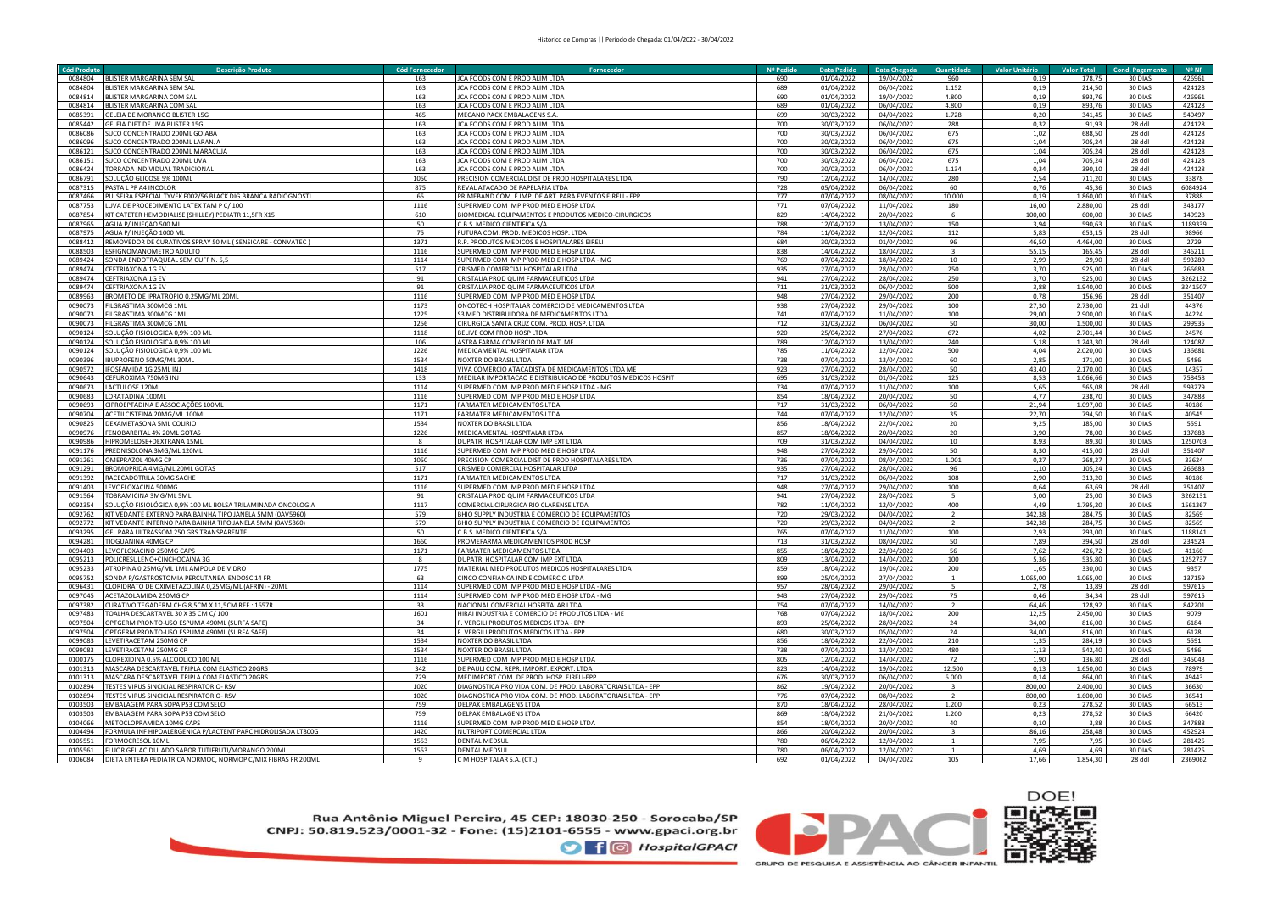| <b>Cód Produto</b> | Descrição Produto                                                           | Cód Fornecedor | Fornecedo                                                    | Nº Pedido | <b>Data Pedido</b>       | Data Chegada | Quantidade              | <b>Valor Unitário</b> | <b>Valor Total</b> | <b>Cond. Pagamento</b> | Nº <sub>NF</sub> |
|--------------------|-----------------------------------------------------------------------------|----------------|--------------------------------------------------------------|-----------|--------------------------|--------------|-------------------------|-----------------------|--------------------|------------------------|------------------|
| 0084804            | BLISTER MARGARINA SEM SAL                                                   | 163            | ICA FOODS COM E PROD ALIM LTDA                               | 690       | 01/04/2022               | 19/04/2022   | 960                     | 0,19                  | 178,75             | 30 DIAS                | 426961           |
| 0084804            | BLISTER MARGARINA SEM SAL                                                   | 163            | <b>JCA FOODS COM E PROD ALIM LTDA</b>                        | 689       | 01/04/2022               | 06/04/2022   | 1.152                   | 0,19                  | 214,50             | 30 DIAS                | 424128           |
| 0084814            | BLISTER MARGARINA COM SAL                                                   | 163            | JCA FOODS COM E PROD ALIM LTDA                               | 690       | 01/04/2022               | 19/04/2022   | 4.800                   | 0,19                  | 893,76             | 30 DIAS                | 426961           |
|                    |                                                                             |                |                                                              |           |                          |              |                         |                       |                    |                        |                  |
| 0084814            | BLISTER MARGARINA COM SAL                                                   | 163            | JCA FOODS COM E PROD ALIM LTDA                               | 689       | 01/04/2022               | 06/04/2022   | 4.800                   | 0,19                  | 893,76             | 30 DIAS                | 424128           |
| 0085391            | GELEIA DE MORANGO BLISTER 15G                                               | 465            | MECANO PACK EMBALAGENS S.A.                                  | 699       | 30/03/2022               | 04/04/2022   | 1.728                   | 0,20                  | 341,45             | 30 DIAS                | 540497           |
| 0085442            | GELEIA DIET DE UVA BLISTER 15G                                              | 163            | CA FOODS COM E PROD ALIM LTDA                                | 700       | 30/03/2022               | 06/04/2022   | 288                     | 0,32                  | 91,93              | 28 ddl                 | 424128           |
| 0086086            | SUCO CONCENTRADO 200ML GOIABA                                               | 163            | CA FOODS COM E PROD ALIM LTDA                                | 700       | 30/03/2022               | 06/04/2022   | 675                     | 1,02                  | 688,50             | 28 ddl                 | 424128           |
| 0086096            | <b>SUCO CONCENTRADO 200ML LARANJ</b>                                        | 163            | CA FOODS COM E PROD ALIM LTDA                                | 700       | 30/03/2022               | 06/04/2022   | 675                     | 1,04                  | 705,24             | 28 ddl                 | 424128           |
| 0086121            | SUCO CONCENTRADO 200ML MARACUJA                                             | 163            | JCA FOODS COM E PROD ALIM LTDA                               | 700       | 30/03/2022               | 06/04/202    | 675                     | 1,04                  | 705,24             | 28 ddl                 | 424128           |
| 0086151            | <b>SUCO CONCENTRADO 200ML UVA</b>                                           | 163            | CA FOODS COM E PROD ALIM LTDA                                | 700       | 30/03/2022               | 06/04/202    | 675                     | 1,04                  | 705,24             | 28 ddl                 | 424128           |
| 0086424            | <b>FORRADA INDIVIDUAL TRADICIONA</b>                                        | 163            | <b>JCA FOODS COM E PROD ALIM LTDA</b>                        | 700       | 30/03/2022               | 06/04/202    | 1.134                   | 0.34                  | 390.10             | 28 ddl                 | 424128           |
|                    |                                                                             |                |                                                              |           |                          |              |                         |                       |                    |                        |                  |
| 0086791            | SOLUCÃO GLICOSE 5% 100MI                                                    | 1050           | PRECISION COMERCIAL DIST DE PROD HOSPITALARES LTDA           | 790       | 12/04/2022               | 14/04/202    | 280                     | 2.54                  | 711,20             | 30 DIAS                | 33878            |
| 0087315            | PASTA L PP A4 INCOLOR                                                       | 875            | REVAL ATACADO DE PAPELARIA LTDA                              | 728       | 05/04/2022               | 06/04/202    | 60                      | 0.76                  | 45,36              | 30 DIAS                | 6084924          |
| 0087466            | PULSEIRA ESPECIAL TYVEK F002/56 BLACK DIG.BRANCA RADIOGNOSTI                | 65             | PRIMEBAND COM. E IMP. DE ART. PARA EVENTOS EIRELI - EPP      | 777       | 07/04/2022               | 08/04/2022   | 10.000                  | 0,19                  | 1.860,00           | 30 DIAS                | 37888            |
| 0087753            | LUVA DE PROCEDIMENTO LATEX TAM P C/100                                      | 1116           | SUPERMED COM IMP PROD MED E HOSP LTDA                        | 771       | 07/04/2022               | 11/04/2022   | 180                     | 16,00                 | 2.880,00           | 28 ddl                 | 343177           |
| 0087854            | KIT CATETER HEMODIALISE (SHILLEY) PEDIATR 11,5FR X15                        | 610            | BIOMEDICAL EQUIPAMENTOS E PRODUTOS MEDICO-CIRURGICOS         | 829       | 14/04/2022               | 20/04/2022   | $\mathbf{6}$            | 100,00                | 600,00             | 30 DIAS                | 149928           |
| 0087965            | AGUA P/ INJEÇÃO 500 ML                                                      | 50             | C.B.S. MEDICO CIENTIFICA S/A                                 | 788       | 12/04/2022               | 13/04/2022   | 150                     | 3,94                  | 590,63             | 30 DIAS                | 1189339          |
| 0087975            | AGUA P/ INJEÇÃO 1000 ML                                                     | 75             | FUTURA COM. PROD. MEDICOS HOSP. LTDA                         | 784       | 11/04/2022               | 12/04/2022   | 112                     | 5,83                  | 653,15             | 28 ddl                 | 98966            |
|                    |                                                                             |                |                                                              |           |                          |              |                         |                       |                    |                        |                  |
| 0088412            | REMOVEDOR DE CURATIVOS SPRAY 50 ML (SENSICARE - CONVATEC)                   | 1371           | R.P. PRODUTOS MEDICOS E HOSPITALARES EIRELI                  | 684       | 30/03/2022               | 01/04/2022   | 96                      | 46,50                 | 4.464,00           | 30 DIAS                | 2729             |
| 0088503            | <b>ESFIGNOMANOMETRO ADULTO</b>                                              | 1116           | SUPERMED COM IMP PROD MED E HOSP LTDA                        | 838       | 14/04/2022               | 18/04/2022   |                         | 55,15                 | 165,45             | 28 ddl                 | 346211           |
| 0089424            | <b>SONDA ENDOTRAQUEAL SEM CUFF N. 5,5</b>                                   | 1114           | UPERMED COM IMP PROD MED E HOSP LTDA - MG                    | 769       | 07/04/2022               | 18/04/2022   | $10\,$                  | 2,99                  | 29,90              | 28 ddl                 | 593280           |
| 0089474            | <b>EFTRIAXONA 1G EV</b>                                                     | 517            | RISMED COMERCIAL HOSPITALAR LTDA                             | 935       | 27/04/2022               | 28/04/2022   | 250                     | 3.70                  | 925.00             | 30 DIAS                | 266683           |
| 0089474            | EFTRIAXONA 1G EV                                                            | 91             | RISTALIA PROD QUIM FARMACEUTICOS LTDA                        | 941       | 27/04/2022               | 28/04/2022   | 250                     | 3,70                  | 925,00             | 30 DIAS                | 3262132          |
| 0089474            | <b>FFTRIAXONA 1G FV</b>                                                     | 91             | <b>RISTALIA PROD OUIM FARMACEUTICOS LTDA</b>                 | 711       | 31/03/2022               | 06/04/2022   | 500                     | 3,88                  | 1.940,00           | 30 DIAS                | 3241507          |
| 0089963            | BROMETO DE IPRATROPIO 0,25MG/ML 20ML                                        | 1116           | SUPERMED COM IMP PROD MED E HOSP LTDA                        | 948       | 27/04/2022               | 29/04/2022   | 200                     | 0,78                  | 156,96             | 28 ddl                 | 351407           |
|                    |                                                                             |                |                                                              |           |                          |              |                         |                       |                    |                        |                  |
| 0090073            | ILGRASTIMA 300MCG 1ML                                                       | 1173           | ONCOTECH HOSPITALAR COMERCIO DE MEDICAMENTOS LTDA            | 938       | 27/04/2022               | 29/04/2022   | 100                     | 27,30                 | 2.730,00           | 21 ddl                 | 44376            |
| 0090073            | ILGRASTIMA 300MCG 1MI                                                       | 1225           | S3 MED DISTRIBUIDORA DE MEDICAMENTOS LTDA                    | 741       | 07/04/2022               | 11/04/2022   | 100                     | 29,00                 | 2.900,00           | 30 DIAS                | 44224            |
| 0090073            | FILGRASTIMA 300MCG 1ML                                                      | 1256           | CIRURGICA SANTA CRUZ COM, PROD, HOSP, LTDA                   | 712       | 31/03/2022               | 06/04/2022   | 50                      | 30.00                 | 1.500.00           | 30 DIAS                | 299935           |
| 0090124            | OLUÇÃO FISIOLOGICA 0,9% 100 MI                                              | 1118           | BELIVE COM PROD HOSP LTDA                                    | 920       | 25/04/2022               | 27/04/2022   | 672                     | 4,02                  | 2.701,44           | 30 DIAS                | 24576            |
| 0090124            | SOLUCÃO FISIOLOGICA 0.9% 100 MI                                             | 106            | ASTRA FARMA COMERCIO DE MAT. ME                              | 789       | 12/04/2022               | 13/04/2022   | 240                     | 5.18                  | 1.243.30           | 28 ddl                 | 124087           |
| 0090124            | SOLUCÃO FISIOLOGICA 0.9% 100 MI                                             | 1226           | MEDICAMENTAL HOSPITALAR LTDA                                 | 785       | 11/04/2022               | 12/04/2022   | 500                     | 4.04                  | 2.020.00           | 30 DIAS                | 136681           |
| 0090396            | <b>IBUPROFENO 50MG/ML30ML</b>                                               | 1534           | NOXTER DO BRASIL LTDA                                        | 738       | 07/04/2022               | 13/04/2022   | 60                      | 2,85                  | 171,00             | 30 DIAS                | 5486             |
|                    |                                                                             |                |                                                              |           |                          |              |                         |                       |                    |                        |                  |
| 0090572            | IFOSFAMIDA 1G 25ML INJ                                                      | 1418           | VIVA COMERCIO ATACADISTA DE MEDICAMENTOS LTDA ME             | 923       | 27/04/2022               | 28/04/2022   | 50                      | 43.40                 | 2.170.00           | 30 DIAS                | 14357            |
| 0090643            | CEFUROXIMA 750MG INJ                                                        | 133            | MEDILAR IMPORTACAO E DISTRIBUICAO DE PRODUTOS MEDICOS HOSPIT | 695       | 31/03/2022               | 01/04/2022   | 125                     | 8,53                  | 1.066,66           | 30 DIAS                | 758458           |
| 0090673            | LACTULOSE 120ML                                                             | 1114           | SUPERMED COM IMP PROD MED E HOSP LTDA - MG                   | 734       | 07/04/2022               | 11/04/2022   | 100                     | 5,65                  | 565,08             | 28 ddl                 | 593279           |
| 0090683            | LORATADINA 100M                                                             | 1116           | SUPERMED COM IMP PROD MED E HOSP LTDA                        | 854       | 18/04/2022               | 20/04/2022   | 50                      | 4,77                  | 238,70             | 30 DIAS                | 347888           |
| <b>CPANPNO</b>     | IPROEPTADINA E ASSOCIAÇÕES 100ML                                            | 1171           | <b>ARMATER MEDICAMENTOS LTDA</b>                             | 717       | 31/03/2022               | 06/04/2022   | 50                      | 21,94                 | 1.097,00           | 30 DIAS                | 40186            |
| 0090704            | ACETILCISTEINA 20MG/ML 100ML                                                | 1171           | ARMATER MEDICAMENTOS LTDA                                    | 744       | 07/04/2022               | 12/04/2022   | 35                      | 22,70                 | 794,50             | 30 DIAS                | 40545            |
| 0090825            | DEXAMETASONA 5ML COLIRIO                                                    | 1534           | NOXTER DO BRASIL LTDA                                        | 856       | 18/04/2022               | 22/04/2022   | 20                      | 9,25                  | 185,00             | 30 DIAS                | 5591             |
|                    |                                                                             |                |                                                              |           |                          |              |                         |                       |                    |                        |                  |
| 0090976            | FENOBARBITAL 4% 20ML GOTAS                                                  | 1226           | MEDICAMENTAL HOSPITALAR LTDA                                 | 857       | 18/04/2022               | 20/04/2022   | 20                      | 3,90                  | 78,00              | 30 DIAS                | 137688           |
| 0090986            | HIPROMELOSE+DEXTRANA 15ML                                                   |                | OUPATRI HOSPITALAR COM IMP EXT LTDA                          | 709       | 31/03/2022               | 04/04/2022   | 10                      | 8,93                  | 89,30              | 30 DIAS                | 1250703          |
| 0091176            | PREDNISOLONA 3MG/ML 120ML                                                   | 1116           | SUPERMED COM IMP PROD MED E HOSP LTDA                        | 948       | 27/04/2022               | 29/04/2022   | 50                      | 8,30                  | 415,00             | 28 ddl                 | 351407           |
| 0091261            | OMFPRAZOL 40MG CP                                                           | 1050           | PRECISION COMERCIAL DIST DE PROD HOSPITALARES LTDA           | 736       | 07/04/2022               | 08/04/2022   | 1.001                   | 0,27                  | 268,27             | 30 DIAS                | 33624            |
| 0091291            | BROMOPRIDA 4MG/ML 20ML GOTAS                                                | 517            | CRISMED COMERCIAL HOSPITALAR LTDA                            | 935       | 27/04/2022               | 28/04/2022   | 96                      | 1,10                  | 105,24             | 30 DIAS                | 266683           |
| 0091392            | RACECADOTRILA 30MG SACHE                                                    | 1171           | <b>FARMATER MEDICAMENTOS LTDA</b>                            | 717       | 31/03/2022               | 06/04/2022   | 108                     | 2,90                  | 313,20             | 30 DIAS                | 40186            |
| 0091403            | LEVOFLOXACINA 500MG                                                         | 1116           | SUPERMED COM IMP PROD MED E HOSP LTDA                        | 948       | 27/04/2022               | 29/04/2022   | 100                     | 0.64                  | 63.69              | 28 ddl                 | 351407           |
|                    |                                                                             |                |                                                              |           |                          |              |                         |                       |                    |                        |                  |
| 0091564            | OBRAMICINA 3MG/ML 5MI                                                       | 91             | CRISTALIA PROD QUIM FARMACEUTICOS LTDA                       | 941       | 27/04/2022               | 28/04/2022   |                         | 5.00                  | 25,00              | 30 DIAS                | 3262131          |
| 0092354            | SOLUCÃO FISIOLÓGICA 0.9% 100 ML BOLSA TRILAMINADA ONCOLOGIA                 | 1117           | COMERCIAL CIRURGICA RIO CLARENSE LTDA                        | 782       | 11/04/2022               | 12/04/2022   | 400                     | 4.49                  | 1.795.20           | 30 DIAS                | 1561367          |
| 0092762            | KIT VEDANTE EXTERNO PARA BAINHA TIPO JANELA 5MM (0AV5960)                   | 579            | BHIO SUPPLY INDUSTRIA E COMERCIO DE EQUIPAMENTOS             | 720       | 29/03/2022               | 04/04/2022   |                         | 142,38                | 284,75             | 30 DIAS                | 82569            |
| 0092772            | KIT VEDANTE INTERNO PARA BAINHA TIPO JANELA 5MM (0AV5860)                   | 579            | <b>BHIO SUPPLY INDUSTRIA E COMERCIO DE EQUIPAMENTOS</b>      | 720       | 29/03/2022               | 04/04/2022   |                         | 142,38                | 284,75             | 30 DIAS                | 82569            |
| 0093295            | GEL PARA ULTRASSOM 250 GRS TRANSPARENTE                                     | 50             | C.B.S. MEDICO CIENTIFICA S/A                                 | 765       | 07/04/2022               | 11/04/2022   | 100                     | 2,93                  | 293,00             | 30 DIAS                | 1188141          |
| 0094281            | TIOGUANINA 40MG CP                                                          | 1660           | PROMEFARMA MEDICAMENTOS PROD HOSP                            | 713       | 31/03/2022               | 08/04/2022   | 50                      | 7,89                  | 394,50             | 28 ddl                 | 234524           |
| 0094403            | EVOFLOXACINO 250MG CAPS                                                     | 1171           | FARMATER MEDICAMENTOS LTDA                                   | 855       | 18/04/2022               | 22/04/2022   | 56                      | 7,62                  | 426,72             | 30 DIAS                | 41160            |
| 0095213            | POLICRESULENO+CINCHOCAINA 3G                                                | $\mathbf{R}$   | <b>DUPATRI HOSPITALAR COM IMP EXT LTDA</b>                   | 809       | 13/04/2022               | 14/04/2022   | 100                     | 5,36                  | 535.80             | 30 DIAS                | 1252737          |
|                    |                                                                             |                |                                                              |           |                          |              |                         |                       |                    |                        |                  |
| 0095233            | ATROPINA 0,25MG/ML 1ML AMPOLA DE VIDRO                                      | 1775           | MATERIAL MED PRODUTOS MEDICOS HOSPITALARES LTDA              | 859       | 18/04/2022               | 19/04/2022   | 200                     | 1,65                  | 330,00             | 30 DIAS                | 9357             |
| 0095752            | <b>SONDA P/GASTROSTOMIA PERCUTANEA ENDOSC 14 FR</b>                         | 63             | <b>INCO CONFIANCA IND E COMERCIO LTDA</b>                    | 899       | 25/04/2022               | 27/04/2022   | 1                       | 1.065,00              | 1.065.00           | 30 DIAS                | 137159           |
| 0096431            | LORIDRATO DE OXIMETAZOLINA 0,25MG/ML (AFRIN) - 20ML                         | 1114           | UPERMED COM IMP PROD MED E HOSP LTDA - MG                    | 957       | 28/04/2022               | 29/04/2022   |                         | 2,78                  | 13,89              | 28 ddl                 | 597616           |
| 0097045            | ACETAZOI AMIDA 250MG CP                                                     | 1114           | JUPERMED COM IMP PROD MED E HOSP LTDA - MG                   | 943       | 27/04/2022               | 29/04/2022   | 75                      | 0,46                  | 34,34              | 28 ddl                 | 597615           |
| 0097382            | URATIVO TEGADERM CHG 8,5CM X 11,5CM REF.: 1657R                             | 33             | NACIONAL COMERCIAL HOSPITALAR LTDA                           | 754       | 07/04/2022               | 14/04/2022   |                         | 64,46                 | 128,92             | 30 DIAS                | 842201           |
| 0097483            | OALHA DESCARTAVEL 30 X 35 CM C/ 100                                         | 1601           | HIRAI INDUSTRIA E COMERCIO DE PRODUTOS LTDA - ME             | 768       | 07/04/2022               | 18/04/2022   | 200                     | 12,25                 | 2.450,00           | 30 DIAS                | 9079             |
| 0097504            | PTGERM PRONTO-USO ESPUMA 490ML (SURFA SAFE)                                 | 34             | VERGILI PRODUTOS MEDICOS LTDA - EPP                          | 893       | 25/04/2022               | 28/04/2022   | 24                      | 34,00                 | 816,00             | 30 DIAS                | 6184             |
| 0097504            |                                                                             | 34             | VERGILI PRODUTOS MEDICOS LTDA - EPP                          | 680       |                          | 05/04/2022   | 24                      | 34,00                 | 816,00             | 30 DIAS                |                  |
| 0099083            | PTGERM PRONTO-USO ESPUMA 490ML (SURFA SAFE)<br><b>EVETIRACETAM 250MG CP</b> | 1534           | NOXTER DO RRASILITDA                                         | 856       | 30/03/2022<br>18/04/2022 |              | 210                     | 1.35                  |                    |                        | 6128             |
|                    |                                                                             |                |                                                              |           |                          | 22/04/2022   |                         |                       | 284.19             | 30 DIAS                | 5591             |
| 0099083            | EVETIRACETAM 250MG CP                                                       | 1534           | NOXTER DO BRASIL LTDA                                        | 738       | 07/04/2022               | 13/04/2022   | 480                     | 1,13                  | 542,40             | 30 DIAS                | 5486             |
| 0100175            | CLOREXIDINA 0.5% ALCOOLICO 100 ML                                           | 1116           | SUPERMED COM IMP PROD MED E HOSP LTDA                        | 805       | 12/04/2022               | 14/04/2022   | 72                      | 1.90                  | 136.80             | 28 ddl                 | 345043           |
| 0101313            | MASCARA DESCARTAVEL TRIPLA COM ELASTICO 20GRS                               | 342            | DE PAULI COM. REPR. IMPORT. EXPORT. LTDA                     | 823       | 14/04/2022               | 19/04/2022   | 12.500                  | 0,13                  | 1.650,00           | 30 DIAS                | 78979            |
| 0101313            | MASCARA DESCARTAVEL TRIPLA COM ELASTICO 20GRS                               | 729            | MEDIMPORT COM. DE PROD. HOSP. EIRELI-EPP                     | 676       | 30/03/2022               | 06/04/2022   | 6.000                   | 0,14                  | 864,00             | 30 DIAS                | 49443            |
| 0102894            | TESTES VIRUS SINCICIAL RESPIRATORIO- RSV                                    | 1020           | DIAGNOSTICA PRO VIDA COM. DE PROD. LABORATORIAIS LTDA - EPP  | 862       | 19/04/2022               | 20/04/2022   | $\overline{\mathbf{3}}$ | 800,00                | 2.400,00           | 30 DIAS                | 36630            |
| 0102894            | TESTES VIRUS SINCICIAL RESPIRATORIO- RSV                                    | 1020           | DIAGNOSTICA PRO VIDA COM. DE PROD. LABORATORIAIS LTDA - EPP  | 776       | 07/04/2022               | 08/04/2022   | $\overline{z}$          | 800,00                | 1.600,00           | 30 DIAS                | 36541            |
|                    |                                                                             |                |                                                              |           |                          |              |                         |                       |                    |                        |                  |
| 0103503            | MBALAGEM PARA SOPA P53 COM SELO                                             | 759            | DELPAK EMBALAGENS LTDA                                       | 870       | 18/04/2022               | 28/04/2022   | 1.200                   | 0,23                  | 278,52             | 30 DIAS                | 66513            |
| 0103503            | EMBALAGEM PARA SOPA P53 COM SELO                                            | 759            | DELPAK EMBALAGENS LTDA                                       | 869       | 18/04/2022               | 21/04/2022   | 1.200                   | 0,23                  | 278,52             | 30 DIAS                | 66420            |
| 0104066            | METOCLOPRAMIDA 10MG CAPS                                                    | 1116           | SUPERMED COM IMP PROD MED E HOSP LTDA                        | 854       | 18/04/2022               | 20/04/2022   | 40                      | 0,10                  | 3,88               | 30 DIAS                | 347888           |
| 0104494            | FORMULA INF HIPOALERGENICA P/LACTENT PARC HIDROLISADA LT800G                | 1420           | NUTRIPORT COMERCIAL LTDA                                     | 866       | 20/04/2022               | 20/04/2022   |                         | 86,16                 | 258,48             | 30 DIAS                | 452924           |
| 0105551            | FORMOCRESOL 10ML                                                            | 1553           | <b>DENTAL MEDSUI</b>                                         | 780       | 06/04/2022               | 12/04/2022   |                         | 7,95                  | 7,95               | 30 DIAS                | 281425           |
| 0105561            | FLUOR GEL ACIDULADO SABOR TUTIFRUTI/MORANGO 200ML                           | 1553           | <b>DENTAL MEDSUI</b>                                         | 780       | 06/04/2022               | 12/04/2022   |                         | 4,69                  | 4,69               | 30 DIAS                | 281425           |
| 0106084            | DIETA ENTERA PEDIATRICA NORMOC, NORMOP C/MIX FIBRAS FR 200ML                |                | C M HOSPITALAR S.A. (CTL)                                    | 692       | 01/04/2022               | 04/04/2022   | 105                     | 17.66                 | 1.854,30           | 28 ddl                 | 2369062          |
|                    |                                                                             |                |                                                              |           |                          |              |                         |                       |                    |                        |                  |

Rua Antônio Miguel Pereira, 45 CEP: 18030-250 - Sorocaba/SP<br>CNPJ: 50.819.523/0001-32 - Fone: (15)2101-6555 - www.gpaci.org.br